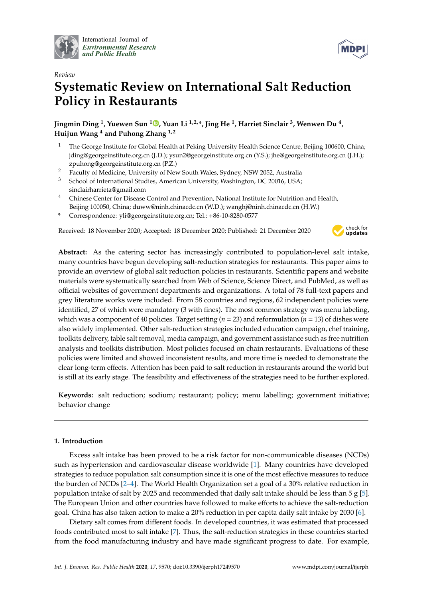

International Journal of *[Environmental Research](http://www.mdpi.com/journal/ijerph) and Public Health*



# *Review* **Systematic Review on International Salt Reduction Policy in Restaurants**

**Jingmin Ding <sup>1</sup> , Yuewen Sun <sup>1</sup> [,](https://orcid.org/0000-0002-1681-4848) Yuan Li 1,2,\*, Jing He <sup>1</sup> , Harriet Sinclair <sup>3</sup> , Wenwen Du <sup>4</sup> , Huijun Wang <sup>4</sup> and Puhong Zhang 1,2**

- <sup>1</sup> The George Institute for Global Health at Peking University Health Science Centre, Beijing 100600, China; jding@georgeinstitute.org.cn (J.D.); ysun2@georgeinstitute.org.cn (Y.S.); jhe@georgeinstitute.org.cn (J.H.); zpuhong@georgeinstitute.org.cn (P.Z.)
- <sup>2</sup> Faculty of Medicine, University of New South Wales, Sydney, NSW 2052, Australia
- School of International Studies, American University, Washington, DC 20016, USA; sinclairharrieta@gmail.com
- <sup>4</sup> Chinese Center for Disease Control and Prevention, National Institute for Nutrition and Health, Beijing 100050, China; duww@ninh.chinacdc.cn (W.D.); wanghj@ninh.chinacdc.cn (H.W.)
- **\*** Correspondence: yli@georgeinstitute.org.cn; Tel.: +86-10-8280-0577

Received: 18 November 2020; Accepted: 18 December 2020; Published: 21 December 2020



**Abstract:** As the catering sector has increasingly contributed to population-level salt intake, many countries have begun developing salt-reduction strategies for restaurants. This paper aims to provide an overview of global salt reduction policies in restaurants. Scientific papers and website materials were systematically searched from Web of Science, Science Direct, and PubMed, as well as official websites of government departments and organizations. A total of 78 full-text papers and grey literature works were included. From 58 countries and regions, 62 independent policies were identified, 27 of which were mandatory (3 with fines). The most common strategy was menu labeling, which was a component of 40 policies. Target setting ( $n = 23$ ) and reformulation ( $n = 13$ ) of dishes were also widely implemented. Other salt-reduction strategies included education campaign, chef training, toolkits delivery, table salt removal, media campaign, and government assistance such as free nutrition analysis and toolkits distribution. Most policies focused on chain restaurants. Evaluations of these policies were limited and showed inconsistent results, and more time is needed to demonstrate the clear long-term effects. Attention has been paid to salt reduction in restaurants around the world but is still at its early stage. The feasibility and effectiveness of the strategies need to be further explored.

**Keywords:** salt reduction; sodium; restaurant; policy; menu labelling; government initiative; behavior change

# **1. Introduction**

Excess salt intake has been proved to be a risk factor for non-communicable diseases (NCDs) such as hypertension and cardiovascular disease worldwide [\[1\]](#page-18-0). Many countries have developed strategies to reduce population salt consumption since it is one of the most effective measures to reduce the burden of NCDs [\[2](#page-18-1)[–4\]](#page-19-0). The World Health Organization set a goal of a 30% relative reduction in population intake of salt by 2025 and recommended that daily salt intake should be less than 5  $g$  [\[5\]](#page-19-1). The European Union and other countries have followed to make efforts to achieve the salt-reduction goal. China has also taken action to make a 20% reduction in per capita daily salt intake by 2030 [\[6\]](#page-19-2).

Dietary salt comes from different foods. In developed countries, it was estimated that processed foods contributed most to salt intake [\[7\]](#page-19-3). Thus, the salt-reduction strategies in these countries started from the food manufacturing industry and have made significant progress to date. For example,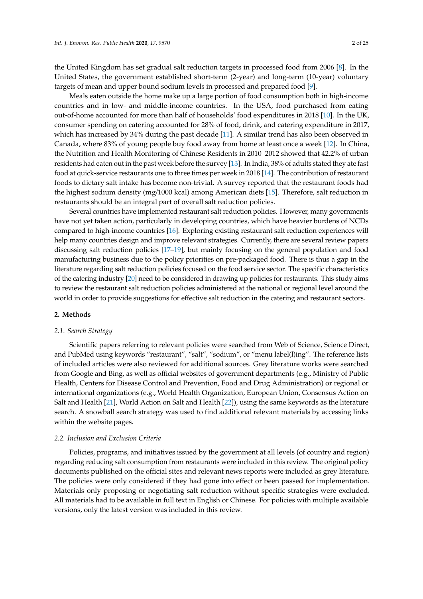the United Kingdom has set gradual salt reduction targets in processed food from 2006 [\[8\]](#page-19-4). In the United States, the government established short-term (2-year) and long-term (10-year) voluntary targets of mean and upper bound sodium levels in processed and prepared food [\[9\]](#page-19-5).

Meals eaten outside the home make up a large portion of food consumption both in high-income countries and in low- and middle-income countries. In the USA, food purchased from eating out-of-home accounted for more than half of households' food expenditures in 2018 [\[10\]](#page-19-6). In the UK, consumer spending on catering accounted for 28% of food, drink, and catering expenditure in 2017, which has increased by 34% during the past decade [\[11\]](#page-19-7). A similar trend has also been observed in Canada, where 83% of young people buy food away from home at least once a week [\[12\]](#page-19-8). In China, the Nutrition and Health Monitoring of Chinese Residents in 2010–2012 showed that 42.2% of urban residents had eaten out in the past week before the survey [\[13\]](#page-19-9). In India, 38% of adults stated they ate fast food at quick-service restaurants one to three times per week in 2018 [\[14\]](#page-19-10). The contribution of restaurant foods to dietary salt intake has become non-trivial. A survey reported that the restaurant foods had the highest sodium density (mg/1000 kcal) among American diets [\[15\]](#page-19-11). Therefore, salt reduction in restaurants should be an integral part of overall salt reduction policies.

Several countries have implemented restaurant salt reduction policies. However, many governments have not yet taken action, particularly in developing countries, which have heavier burdens of NCDs compared to high-income countries [\[16\]](#page-19-12). Exploring existing restaurant salt reduction experiences will help many countries design and improve relevant strategies. Currently, there are several review papers discussing salt reduction policies [\[17](#page-19-13)[–19\]](#page-19-14), but mainly focusing on the general population and food manufacturing business due to the policy priorities on pre-packaged food. There is thus a gap in the literature regarding salt reduction policies focused on the food service sector. The specific characteristics of the catering industry [\[20\]](#page-19-15) need to be considered in drawing up policies for restaurants. This study aims to review the restaurant salt reduction policies administered at the national or regional level around the world in order to provide suggestions for effective salt reduction in the catering and restaurant sectors.

# **2. Methods**

## *2.1. Search Strategy*

Scientific papers referring to relevant policies were searched from Web of Science, Science Direct, and PubMed using keywords "restaurant", "salt", "sodium", or "menu label(l)ing". The reference lists of included articles were also reviewed for additional sources. Grey literature works were searched from Google and Bing, as well as official websites of government departments (e.g., Ministry of Public Health, Centers for Disease Control and Prevention, Food and Drug Administration) or regional or international organizations (e.g., World Health Organization, European Union, Consensus Action on Salt and Health [\[21\]](#page-19-16), World Action on Salt and Health [\[22\]](#page-19-17)), using the same keywords as the literature search. A snowball search strategy was used to find additional relevant materials by accessing links within the website pages.

# *2.2. Inclusion and Exclusion Criteria*

Policies, programs, and initiatives issued by the government at all levels (of country and region) regarding reducing salt consumption from restaurants were included in this review. The original policy documents published on the official sites and relevant news reports were included as grey literature. The policies were only considered if they had gone into effect or been passed for implementation. Materials only proposing or negotiating salt reduction without specific strategies were excluded. All materials had to be available in full text in English or Chinese. For policies with multiple available versions, only the latest version was included in this review.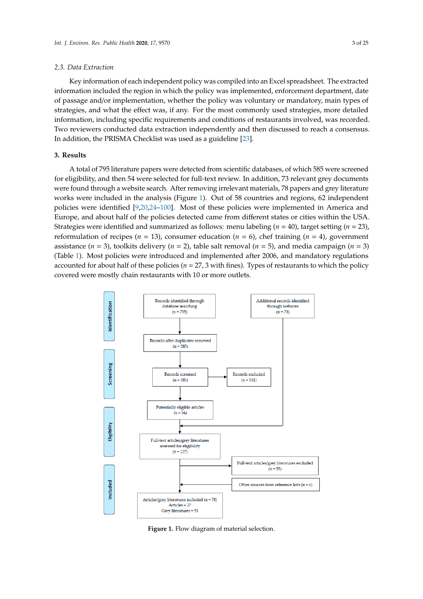## *2.3. Data Extraction 2.3. Data Extraction*

Key information of each independent policy was compiled into an Excel spreadsheet. The extracted Key information of each independent policy was compiled into an Excel spreadsheet. The information included the region in which the policy was implemented, enforcement department, date of passage and/or implementation, whether the policy was voluntary or mandatory, main types of strategies, and what the effect was, if any. For the most commonly used strategies, more detailed information, including specific requirements and conditions of restaurants involved, was recorded. Two reviewers conducted data extraction independently and then discussed to reach a consensus. In addition, the PRISMA C[heck](#page-19-18)list was used as a guideline [23].

# **3. Results 3. Results**

A total of 795 literature papers were detected from scientific databases, of which 585 were screened A total of 795 literature papers were detected from scientific databases, of which 585 were for eligibility, and then 54 were selected for full-text review. In addition, 73 relevant grey documents were found through a website search. After removing irrelevant materials, 78 papers and grey literature works were included in th[e a](#page-2-0)nalysis (Figure 1). Out of 58 countries and regions, 62 independent policies were identified  $[9,20,24-100]$  $[9,20,24-100]$  $[9,20,24-100]$  $[9,20,24-100]$ . Most of these policies were implemented in America and Europe, and about half of the policies detected came from different states or cities within the USA. Strategies were identified and summarized as follows: menu labeling ( $n = 40$ ), target setting ( $n = 23$ ), reformulation of recipes ( $n = 13$ ), consumer education ( $n = 6$ ), chef training ( $n = 4$ ), government assistance ( $n = 3$ ), toolkits delivery ( $n = 2$ ), table salt removal ( $n = 5$ ), and media campaign ( $n = 3$ ) (Table 1). Most policies were introduced and implemented after 2006, and mandatory regulations accounted for about half of these policies ( $n = 27$ , 3 with fines). Types of restaurants to which the policy covered were mostly chain restaurants with 10 or more outlets.

<span id="page-2-0"></span>

**Figure 1.** Flow diagram of material selection.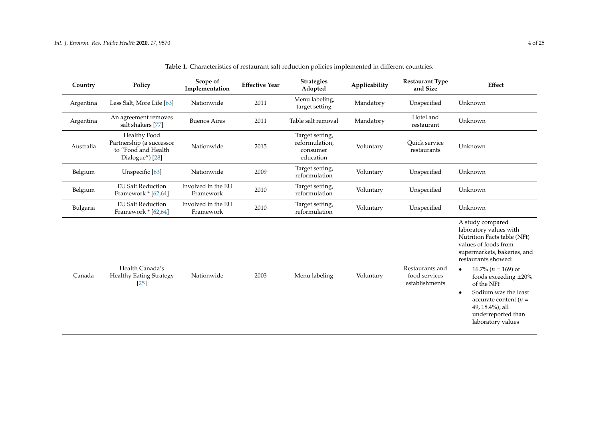| Country   | Policy                                                                             | Scope of<br>Implementation      | <b>Effective Year</b> | <b>Strategies</b><br>Adopted                               | Applicability | <b>Restaurant Type</b><br>and Size                 | Effect                                                                                                                                                                                                                                                                                                                                                                    |
|-----------|------------------------------------------------------------------------------------|---------------------------------|-----------------------|------------------------------------------------------------|---------------|----------------------------------------------------|---------------------------------------------------------------------------------------------------------------------------------------------------------------------------------------------------------------------------------------------------------------------------------------------------------------------------------------------------------------------------|
| Argentina | Less Salt, More Life [63]                                                          | Nationwide                      | 2011                  | Menu labeling,<br>target setting                           | Mandatory     | Unspecified                                        | Unknown                                                                                                                                                                                                                                                                                                                                                                   |
| Argentina | An agreement removes<br>salt shakers [77]                                          | <b>Buenos Aires</b>             | 2011                  | Table salt removal                                         | Mandatory     | Hotel and<br>restaurant                            | Unknown                                                                                                                                                                                                                                                                                                                                                                   |
| Australia | Healthy Food<br>Partnership (a successor<br>to "Food and Health<br>Dialogue") [28] | Nationwide                      | 2015                  | Target setting,<br>reformulation,<br>consumer<br>education | Voluntary     | Quick service<br>restaurants                       | Unknown                                                                                                                                                                                                                                                                                                                                                                   |
| Belgium   | Unspecific [63]                                                                    | Nationwide                      | 2009                  | Target setting,<br>reformulation                           | Voluntary     | Unspecified                                        | Unknown                                                                                                                                                                                                                                                                                                                                                                   |
| Belgium   | <b>EU Salt Reduction</b><br>Framework * [62,64]                                    | Involved in the EU<br>Framework | 2010                  | Target setting,<br>reformulation                           | Voluntary     | Unspecified                                        | Unknown                                                                                                                                                                                                                                                                                                                                                                   |
| Bulgaria  | <b>EU Salt Reduction</b><br>Framework * [62,64]                                    | Involved in the EU<br>Framework | 2010                  | Target setting,<br>reformulation                           | Voluntary     | Unspecified                                        | Unknown                                                                                                                                                                                                                                                                                                                                                                   |
| Canada    | Health Canada's<br><b>Healthy Eating Strategy</b><br>[25]                          | Nationwide                      | 2003                  | Menu labeling                                              | Voluntary     | Restaurants and<br>food services<br>establishments | A study compared<br>laboratory values with<br>Nutrition Facts table (NFt)<br>values of foods from<br>supermarkets, bakeries, and<br>restaurants showed:<br>16.7% ( $n = 169$ ) of<br>$\bullet$<br>foods exceeding $\pm 20\%$<br>of the NFt<br>Sodium was the least<br>$\bullet$<br>accurate content ( $n =$<br>49, 18.4%), all<br>underreported than<br>laboratory values |

| Table 1. Characteristics of restaurant salt reduction policies implemented in different countries. |  |
|----------------------------------------------------------------------------------------------------|--|
|----------------------------------------------------------------------------------------------------|--|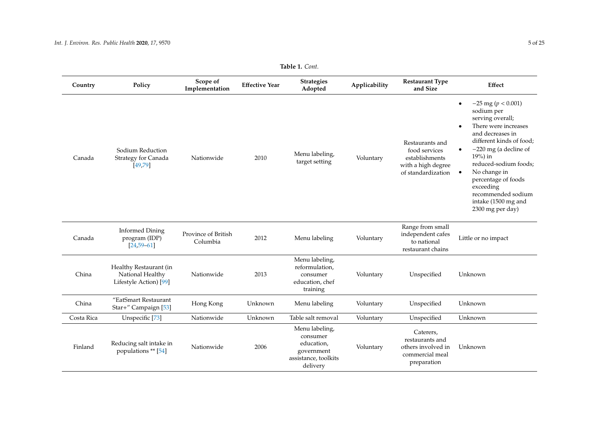| Country    | Policy                                                               | Scope of<br>Implementation      | <b>Effective Year</b> | <b>Strategies</b><br>Adopted                                                               | Applicability | <b>Restaurant Type</b><br>and Size                                                             | Effect                                                                                                                                                                                                                                                                                                                                                                        |
|------------|----------------------------------------------------------------------|---------------------------------|-----------------------|--------------------------------------------------------------------------------------------|---------------|------------------------------------------------------------------------------------------------|-------------------------------------------------------------------------------------------------------------------------------------------------------------------------------------------------------------------------------------------------------------------------------------------------------------------------------------------------------------------------------|
| Canada     | Sodium Reduction<br>Strategy for Canada<br>[49, 79]                  | Nationwide                      | 2010                  | Menu labeling,<br>target setting                                                           | Voluntary     | Restaurants and<br>food services<br>establishments<br>with a high degree<br>of standardization | $-25$ mg ( $p < 0.001$ )<br>$\bullet$<br>sodium per<br>serving overall;<br>There were increases<br>$\bullet$<br>and decreases in<br>different kinds of food;<br>$-220$ mg (a decline of<br>$\bullet$<br>$19%$ ) in<br>reduced-sodium foods;<br>No change in<br>$\bullet$<br>percentage of foods<br>exceeding<br>recommended sodium<br>intake (1500 mg and<br>2300 mg per day) |
| Canada     | <b>Informed Dining</b><br>program (IDP)<br>$[24, 59 - 61]$           | Province of British<br>Columbia | 2012                  | Menu labeling                                                                              | Voluntary     | Range from small<br>independent cafes<br>to national<br>restaurant chains                      | Little or no impact                                                                                                                                                                                                                                                                                                                                                           |
| China      | Healthy Restaurant (in<br>National Healthy<br>Lifestyle Action) [99] | Nationwide                      | 2013                  | Menu labeling,<br>reformulation,<br>consumer<br>education, chef<br>training                | Voluntary     | Unspecified                                                                                    | Unknown                                                                                                                                                                                                                                                                                                                                                                       |
| China      | "EatSmart Restaurant<br>Star+" Campaign [53]                         | Hong Kong                       | Unknown               | Menu labeling                                                                              | Voluntary     | Unspecified                                                                                    | Unknown                                                                                                                                                                                                                                                                                                                                                                       |
| Costa Rica | Unspecific [73]                                                      | Nationwide                      | Unknown               | Table salt removal                                                                         | Voluntary     | Unspecified                                                                                    | Unknown                                                                                                                                                                                                                                                                                                                                                                       |
| Finland    | Reducing salt intake in<br>populations ** [54]                       | Nationwide                      | 2006                  | Menu labeling,<br>consumer<br>education,<br>government<br>assistance, toolkits<br>delivery | Voluntary     | Caterers,<br>restaurants and<br>others involved in<br>commercial meal<br>preparation           | Unknown                                                                                                                                                                                                                                                                                                                                                                       |

**Table 1.** *Cont.*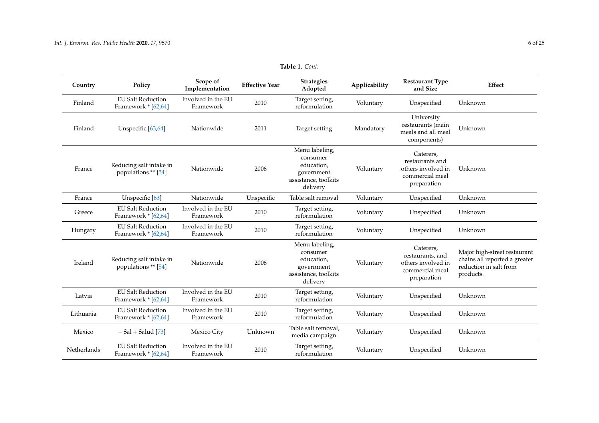| Country     | Policy                                          | Scope of<br>Implementation      | <b>Effective Year</b> | <b>Strategies</b><br>Adopted                                                               | Applicability | <b>Restaurant Type</b><br>and Size                                                    | Effect                                                                                               |
|-------------|-------------------------------------------------|---------------------------------|-----------------------|--------------------------------------------------------------------------------------------|---------------|---------------------------------------------------------------------------------------|------------------------------------------------------------------------------------------------------|
| Finland     | <b>EU Salt Reduction</b><br>Framework * [62,64] | Involved in the EU<br>Framework | 2010                  | Target setting,<br>reformulation                                                           | Voluntary     | Unspecified                                                                           | Unknown                                                                                              |
| Finland     | Unspecific [63,64]                              | Nationwide                      | 2011                  | Target setting                                                                             | Mandatory     | University<br>restaurants (main<br>meals and all meal<br>components)                  | Unknown                                                                                              |
| France      | Reducing salt intake in<br>populations ** [54]  | Nationwide                      | 2006                  | Menu labeling,<br>consumer<br>education,<br>government<br>assistance, toolkits<br>delivery | Voluntary     | Caterers,<br>restaurants and<br>others involved in<br>commercial meal<br>preparation  | Unknown                                                                                              |
| France      | Unspecific [63]                                 | Nationwide                      | Unspecific            | Table salt removal                                                                         | Voluntary     | Unspecified                                                                           | Unknown                                                                                              |
| Greece      | <b>EU Salt Reduction</b><br>Framework * [62,64] | Involved in the EU<br>Framework | 2010                  | Target setting,<br>reformulation                                                           | Voluntary     | Unspecified                                                                           | Unknown                                                                                              |
| Hungary     | <b>EU Salt Reduction</b><br>Framework * [62,64] | Involved in the EU<br>Framework | 2010                  | Target setting,<br>reformulation                                                           | Voluntary     | Unspecified                                                                           | Unknown                                                                                              |
| Ireland     | Reducing salt intake in<br>populations ** [54]  | Nationwide                      | 2006                  | Menu labeling,<br>consumer<br>education,<br>government<br>assistance, toolkits<br>delivery | Voluntary     | Caterers,<br>restaurants, and<br>others involved in<br>commercial meal<br>preparation | Major high-street restaurant<br>chains all reported a greater<br>reduction in salt from<br>products. |
| Latvia      | <b>EU Salt Reduction</b><br>Framework * [62,64] | Involved in the EU<br>Framework | 2010                  | Target setting,<br>reformulation                                                           | Voluntary     | Unspecified                                                                           | Unknown                                                                                              |
| Lithuania   | <b>EU Salt Reduction</b><br>Framework * [62,64] | Involved in the EU<br>Framework | 2010                  | Target setting,<br>reformulation                                                           | Voluntary     | Unspecified                                                                           | Unknown                                                                                              |
| Mexico      | $-$ Sal + Salud [73]                            | Mexico City                     | Unknown               | Table salt removal,<br>media campaign                                                      | Voluntary     | Unspecified                                                                           | Unknown                                                                                              |
| Netherlands | <b>EU Salt Reduction</b><br>Framework * [62,64] | Involved in the EU<br>Framework | 2010                  | Target setting,<br>reformulation                                                           | Voluntary     | Unspecified                                                                           | Unknown                                                                                              |

**Table 1.** *Cont.*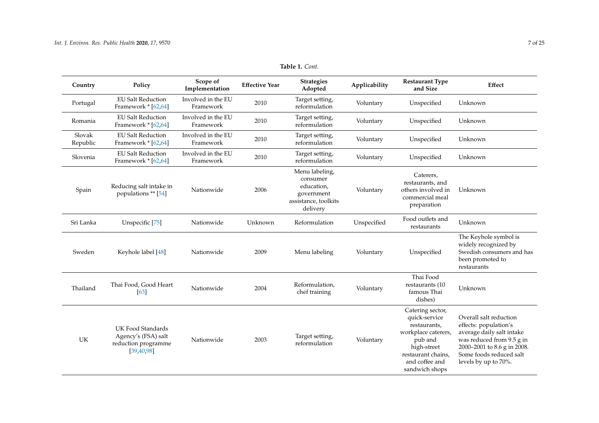| Country            | Policy                                                                          | Scope of<br>Implementation      | <b>Effective Year</b> | <b>Strategies</b><br>Adopted                                                               | Applicability | <b>Restaurant Type</b><br>and Size                                                                                                                           | Effect                                                                                                                                                                                      |
|--------------------|---------------------------------------------------------------------------------|---------------------------------|-----------------------|--------------------------------------------------------------------------------------------|---------------|--------------------------------------------------------------------------------------------------------------------------------------------------------------|---------------------------------------------------------------------------------------------------------------------------------------------------------------------------------------------|
| Portugal           | <b>EU Salt Reduction</b><br>Framework * [62,64]                                 | Involved in the EU<br>Framework | 2010                  | Target setting,<br>reformulation                                                           | Voluntary     | Unspecified                                                                                                                                                  | Unknown                                                                                                                                                                                     |
| Romania            | <b>EU Salt Reduction</b><br>Framework * [62,64]                                 | Involved in the EU<br>Framework | 2010                  | Target setting,<br>reformulation                                                           | Voluntary     | Unspecified                                                                                                                                                  | Unknown                                                                                                                                                                                     |
| Slovak<br>Republic | <b>EU Salt Reduction</b><br>Framework * [62,64]                                 | Involved in the EU<br>Framework | 2010                  | Target setting,<br>reformulation                                                           | Voluntary     | Unspecified                                                                                                                                                  | Unknown                                                                                                                                                                                     |
| Slovenia           | <b>EU Salt Reduction</b><br>Framework * [62,64]                                 | Involved in the EU<br>Framework | 2010                  | Target setting,<br>reformulation                                                           | Voluntary     | Unspecified                                                                                                                                                  | Unknown                                                                                                                                                                                     |
| Spain              | Reducing salt intake in<br>populations ** [54]                                  | Nationwide                      | 2006                  | Menu labeling,<br>consumer<br>education,<br>government<br>assistance, toolkits<br>delivery | Voluntary     | Caterers,<br>restaurants, and<br>others involved in<br>commercial meal<br>preparation                                                                        | Unknown                                                                                                                                                                                     |
| Sri Lanka          | Unspecific [75]                                                                 | Nationwide                      | Unknown               | Reformulation                                                                              | Unspecified   | Food outlets and<br>restaurants                                                                                                                              | Unknown                                                                                                                                                                                     |
| Sweden             | Keyhole label [48]                                                              | Nationwide                      | 2009                  | Menu labeling                                                                              | Voluntary     | Unspecified                                                                                                                                                  | The Keyhole symbol is<br>widely recognized by<br>Swedish consumers and has<br>been promoted to<br>restaurants                                                                               |
| Thailand           | Thai Food, Good Heart<br>[63]                                                   | Nationwide                      | 2004                  | Reformulation,<br>chef training                                                            | Voluntary     | Thai Food<br>restaurants (10<br>famous Thai<br>dishes)                                                                                                       | Unknown                                                                                                                                                                                     |
| UK                 | UK Food Standards<br>Agency's (FSA) salt<br>reduction programme<br>[39, 40, 98] | Nationwide                      | 2003                  | Target setting,<br>reformulation                                                           | Voluntary     | Catering sector,<br>quick-service<br>restaurants,<br>workplace caterers,<br>pub and<br>high-street<br>restaurant chains,<br>and coffee and<br>sandwich shops | Overall salt reduction<br>effects: population's<br>average daily salt intake<br>was reduced from 9.5 g in<br>2000-2001 to 8.6 g in 2008.<br>Some foods reduced salt<br>levels by up to 70%. |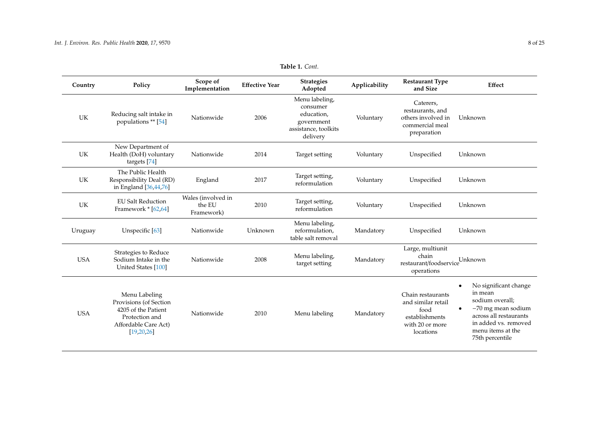| Country    | Policy                                                                                                                   | Scope of<br>Implementation                 | <b>Effective Year</b> | <b>Strategies</b><br>Adopted                                                               | Applicability | <b>Restaurant Type</b><br>and Size                                                                | Effect                                                                                                                                                                                          |
|------------|--------------------------------------------------------------------------------------------------------------------------|--------------------------------------------|-----------------------|--------------------------------------------------------------------------------------------|---------------|---------------------------------------------------------------------------------------------------|-------------------------------------------------------------------------------------------------------------------------------------------------------------------------------------------------|
| UK         | Reducing salt intake in<br>populations ** [54]                                                                           | Nationwide                                 | 2006                  | Menu labeling,<br>consumer<br>education,<br>government<br>assistance, toolkits<br>delivery | Voluntary     | Caterers,<br>restaurants, and<br>others involved in<br>commercial meal<br>preparation             | Unknown                                                                                                                                                                                         |
| UK         | New Department of<br>Health (DoH) voluntary<br>targets [74]                                                              | Nationwide                                 | 2014                  | Target setting                                                                             | Voluntary     | Unspecified                                                                                       | Unknown                                                                                                                                                                                         |
| UK         | The Public Health<br>Responsibility Deal (RD)<br>in England [36,44,76]                                                   | England                                    | 2017                  | Target setting,<br>reformulation                                                           | Voluntary     | Unspecified                                                                                       | Unknown                                                                                                                                                                                         |
| UK         | <b>EU Salt Reduction</b><br>Framework * [62,64]                                                                          | Wales (involved in<br>the EU<br>Framework) | 2010                  | Target setting,<br>reformulation                                                           | Voluntary     | Unspecified                                                                                       | Unknown                                                                                                                                                                                         |
| Uruguay    | Unspecific [63]                                                                                                          | Nationwide                                 | Unknown               | Menu labeling,<br>reformulation.<br>table salt removal                                     | Mandatory     | Unspecified                                                                                       | Unknown                                                                                                                                                                                         |
| <b>USA</b> | Strategies to Reduce<br>Sodium Intake in the<br>United States [100]                                                      | Nationwide                                 | 2008                  | Menu labeling,<br>target setting                                                           | Mandatory     | Large, multiunit<br>chain<br>restaurant/foodservice<br>operations                                 | Unknown                                                                                                                                                                                         |
| <b>USA</b> | Menu Labeling<br>Provisions (of Section<br>4205 of the Patient<br>Protection and<br>Affordable Care Act)<br>[19, 20, 26] | Nationwide                                 | 2010                  | Menu labeling                                                                              | Mandatory     | Chain restaurants<br>and similar retail<br>food<br>establishments<br>with 20 or more<br>locations | No significant change<br>$\bullet$<br>in mean<br>sodium overall;<br>$-70$ mg mean sodium<br>$\bullet$<br>across all restaurants<br>in added vs. removed<br>menu items at the<br>75th percentile |

# **Table 1.** *Cont.*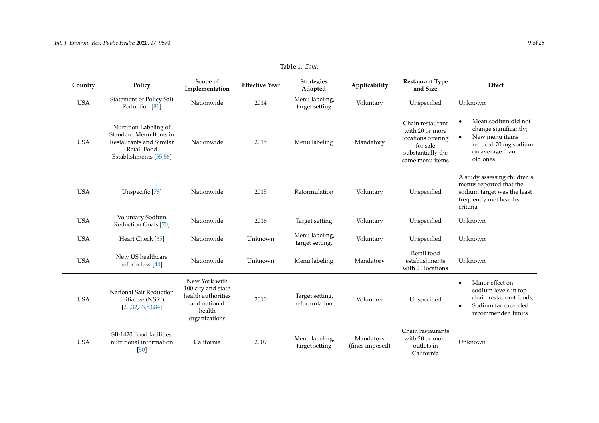| Country    | Policy                                                                                                              | Scope of<br>Implementation                                                                           | <b>Effective Year</b> | <b>Strategies</b><br>Adopted      | Applicability                | <b>Restaurant Type</b><br>and Size                                                                            | Effect                                                                                                                                    |
|------------|---------------------------------------------------------------------------------------------------------------------|------------------------------------------------------------------------------------------------------|-----------------------|-----------------------------------|------------------------------|---------------------------------------------------------------------------------------------------------------|-------------------------------------------------------------------------------------------------------------------------------------------|
| <b>USA</b> | Statement of Policy Salt<br>Reduction <sup>[81]</sup>                                                               | Nationwide                                                                                           | 2014                  | Menu labeling,<br>target setting  | Voluntary                    | Unspecified                                                                                                   | Unknown                                                                                                                                   |
| <b>USA</b> | Nutrition Labeling of<br>Standard Menu Items in<br>Restaurants and Similar<br>Retail Food<br>Establishments [55,56] | Nationwide                                                                                           | 2015                  | Menu labeling                     | Mandatory                    | Chain restaurant<br>with 20 or more<br>locations offering<br>for sale<br>substantially the<br>same menu items | Mean sodium did not<br>٠<br>change significantly;<br>New menu items<br>$\bullet$<br>reduced 70 mg sodium<br>on average than<br>old ones   |
| <b>USA</b> | Unspecific [78]                                                                                                     | Nationwide                                                                                           | 2015                  | Reformulation                     | Voluntary                    | Unspecified                                                                                                   | A study assessing children's<br>menus reported that the<br>sodium target was the least<br>frequently met healthy<br>criteria              |
| <b>USA</b> | Voluntary Sodium<br>Reduction Goals [70]                                                                            | Nationwide                                                                                           | 2016                  | Target setting                    | Voluntary                    | Unspecified                                                                                                   | Unknown                                                                                                                                   |
| <b>USA</b> | Heart Check [35]                                                                                                    | Nationwide                                                                                           | Unknown               | Menu labeling,<br>target setting, | Voluntary                    | Unspecified                                                                                                   | Unknown                                                                                                                                   |
| <b>USA</b> | New US healthcare<br>reform law $[44]$                                                                              | Nationwide                                                                                           | Unknown               | Menu labeling                     | Mandatory                    | Retail food<br>establishments<br>with 20 locations                                                            | Unknown                                                                                                                                   |
| <b>USA</b> | National Salt Reduction<br>Initiative (NSRI)<br>[20, 32, 33, 83, 84]                                                | New York with<br>100 city and state<br>health authorities<br>and national<br>health<br>organizations | 2010                  | Target setting,<br>reformulation  | Voluntary                    | Unspecified                                                                                                   | Minor effect on<br>$\bullet$<br>sodium levels in top<br>chain restaurant foods;<br>Sodium far exceeded<br>$\bullet$<br>recommended limits |
| <b>USA</b> | SB-1420 Food facilities:<br>nutritional information<br>[50]                                                         | California                                                                                           | 2009                  | Menu labeling,<br>target setting  | Mandatory<br>(fines imposed) | Chain restaurants<br>with 20 or more<br>outlets in<br>California                                              | Unknown                                                                                                                                   |

**Table 1.** *Cont.*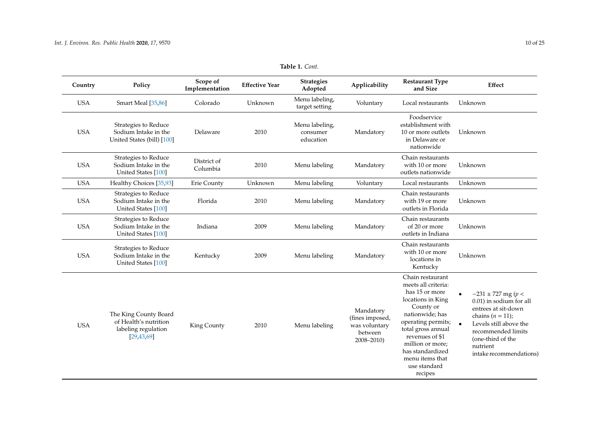| Country    | Policy                                                                                | Scope of<br>Implementation | <b>Effective Year</b> | <b>Strategies</b><br>Adopted            | Applicability                                                             | <b>Restaurant Type</b><br>and Size                                                                                                                                                                                                                                  | Effect                                                                                                                                                                                                      |
|------------|---------------------------------------------------------------------------------------|----------------------------|-----------------------|-----------------------------------------|---------------------------------------------------------------------------|---------------------------------------------------------------------------------------------------------------------------------------------------------------------------------------------------------------------------------------------------------------------|-------------------------------------------------------------------------------------------------------------------------------------------------------------------------------------------------------------|
| <b>USA</b> | Smart Meal [35,86]                                                                    | Colorado                   | Unknown               | Menu labeling,<br>target setting        | Voluntary                                                                 | Local restaurants                                                                                                                                                                                                                                                   | Unknown                                                                                                                                                                                                     |
| <b>USA</b> | Strategies to Reduce<br>Sodium Intake in the<br>United States (bill) [100]            | Delaware                   | 2010                  | Menu labeling,<br>consumer<br>education | Mandatory                                                                 | Foodservice<br>establishment with<br>10 or more outlets<br>in Delaware or<br>nationwide                                                                                                                                                                             | Unknown                                                                                                                                                                                                     |
| <b>USA</b> | Strategies to Reduce<br>Sodium Intake in the<br>United States [100]                   | District of<br>Columbia    | 2010                  | Menu labeling                           | Mandatory                                                                 | Chain restaurants<br>with 10 or more<br>outlets nationwide                                                                                                                                                                                                          | Unknown                                                                                                                                                                                                     |
| <b>USA</b> | Healthy Choices [35,93]                                                               | Erie County                | Unknown               | Menu labeling                           | Voluntary                                                                 | Local restaurants                                                                                                                                                                                                                                                   | Unknown                                                                                                                                                                                                     |
| <b>USA</b> | Strategies to Reduce<br>Sodium Intake in the<br>United States [100]                   | Florida                    | 2010                  | Menu labeling                           | Mandatory                                                                 | Chain restaurants<br>with 19 or more<br>outlets in Florida                                                                                                                                                                                                          | Unknown                                                                                                                                                                                                     |
| <b>USA</b> | Strategies to Reduce<br>Sodium Intake in the<br>United States [100]                   | Indiana                    | 2009                  | Menu labeling                           | Mandatory                                                                 | Chain restaurants<br>of 20 or more<br>outlets in Indiana                                                                                                                                                                                                            | Unknown                                                                                                                                                                                                     |
| <b>USA</b> | Strategies to Reduce<br>Sodium Intake in the<br>United States [100]                   | Kentucky                   | 2009                  | Menu labeling                           | Mandatory                                                                 | Chain restaurants<br>with 10 or more<br>locations in<br>Kentucky                                                                                                                                                                                                    | Unknown                                                                                                                                                                                                     |
| <b>USA</b> | The King County Board<br>of Health's nutrition<br>labeling regulation<br>[29, 43, 69] | King County                | 2010                  | Menu labeling                           | Mandatory<br>(fines imposed,<br>was voluntary<br>between<br>$2008 - 2010$ | Chain restaurant<br>meets all criteria:<br>has 15 or more<br>locations in King<br>County or<br>nationwide; has<br>operating permits;<br>total gross annual<br>revenues of \$1<br>million or more;<br>has standardized<br>menu items that<br>use standard<br>recipes | $-231 \pm 727$ mg (p <<br>0.01) in sodium for all<br>entrees at sit-down<br>chains $(n = 11)$ ;<br>Levels still above the<br>recommended limits<br>(one-third of the<br>nutrient<br>intake recommendations) |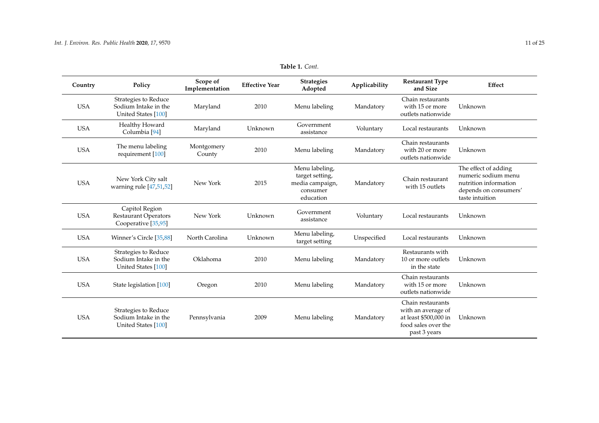| Country    | Policy                                                               | Scope of<br>Implementation | <b>Effective Year</b> | <b>Strategies</b><br>Adopted                                                  | Applicability | <b>Restaurant Type</b><br>and Size                                                                      | Effect                                                                                                           |
|------------|----------------------------------------------------------------------|----------------------------|-----------------------|-------------------------------------------------------------------------------|---------------|---------------------------------------------------------------------------------------------------------|------------------------------------------------------------------------------------------------------------------|
| <b>USA</b> | Strategies to Reduce<br>Sodium Intake in the<br>United States [100]  | Maryland                   | 2010                  | Menu labeling                                                                 | Mandatory     | Chain restaurants<br>with 15 or more<br>outlets nationwide                                              | Unknown                                                                                                          |
| <b>USA</b> | Healthy Howard<br>Columbia <sup>[94]</sup>                           | Maryland                   | Unknown               | Government<br>assistance                                                      | Voluntary     | Local restaurants                                                                                       | Unknown                                                                                                          |
| <b>USA</b> | The menu labeling<br>requirement [100]                               | Montgomery<br>County       | 2010                  | Menu labeling                                                                 | Mandatory     | Chain restaurants<br>with 20 or more<br>outlets nationwide                                              | Unknown                                                                                                          |
| <b>USA</b> | New York City salt<br>warning rule [47,51,52]                        | New York                   | 2015                  | Menu labeling,<br>target setting,<br>media campaign,<br>consumer<br>education | Mandatory     | Chain restaurant<br>with 15 outlets                                                                     | The effect of adding<br>numeric sodium menu<br>nutrition information<br>depends on consumers'<br>taste intuition |
| <b>USA</b> | Capitol Region<br><b>Restaurant Operators</b><br>Cooperative [35,95] | New York                   | Unknown               | Government<br>assistance                                                      | Voluntary     | Local restaurants                                                                                       | Unknown                                                                                                          |
| <b>USA</b> | Winner's Circle [35,88]                                              | North Carolina             | Unknown               | Menu labeling,<br>target setting                                              | Unspecified   | Local restaurants                                                                                       | Unknown                                                                                                          |
| <b>USA</b> | Strategies to Reduce<br>Sodium Intake in the<br>United States [100]  | Oklahoma                   | 2010                  | Menu labeling                                                                 | Mandatory     | Restaurants with<br>10 or more outlets<br>in the state                                                  | Unknown                                                                                                          |
| <b>USA</b> | State legislation [100]                                              | Oregon                     | 2010                  | Menu labeling                                                                 | Mandatory     | Chain restaurants<br>with 15 or more<br>outlets nationwide                                              | Unknown                                                                                                          |
| <b>USA</b> | Strategies to Reduce<br>Sodium Intake in the<br>United States [100]  | Pennsylvania               | 2009                  | Menu labeling                                                                 | Mandatory     | Chain restaurants<br>with an average of<br>at least \$500,000 in<br>food sales over the<br>past 3 years | Unknown                                                                                                          |

**Table 1.** *Cont.*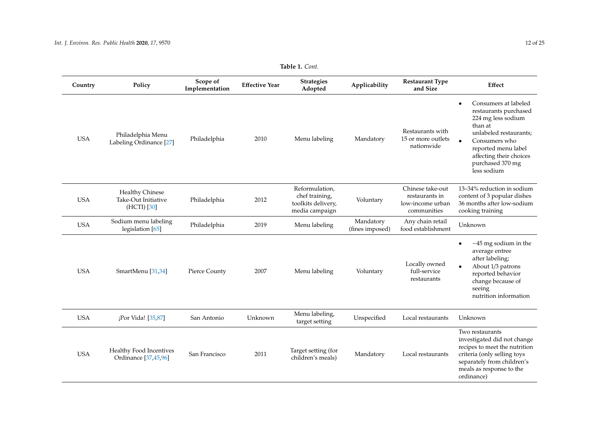| Country    | Policy                                                       | Scope of<br>Implementation | <b>Effective Year</b> | <b>Strategies</b><br>Adopted                                             | Applicability                | <b>Restaurant Type</b><br>and Size                                    | Effect                                                                                                                                                                                                                      |
|------------|--------------------------------------------------------------|----------------------------|-----------------------|--------------------------------------------------------------------------|------------------------------|-----------------------------------------------------------------------|-----------------------------------------------------------------------------------------------------------------------------------------------------------------------------------------------------------------------------|
| <b>USA</b> | Philadelphia Menu<br>Labeling Ordinance [27]                 | Philadelphia               | 2010                  | Menu labeling                                                            | Mandatory                    | Restaurants with<br>15 or more outlets<br>nationwide                  | Consumers at labeled<br>$\bullet$<br>restaurants purchased<br>224 mg less sodium<br>than at<br>unlabeled restaurants:<br>Consumers who<br>reported menu label<br>affecting their choices<br>purchased 370 mg<br>less sodium |
| <b>USA</b> | <b>Healthy Chinese</b><br>Take-Out Initiative<br>(HCTI) [30] | Philadelphia               | 2012                  | Reformulation,<br>chef training,<br>toolkits delivery,<br>media campaign | Voluntary                    | Chinese take-out<br>restaurants in<br>low-income urban<br>communities | 13-34% reduction in sodium<br>content of 3 popular dishes<br>36 months after low-sodium<br>cooking training                                                                                                                 |
| <b>USA</b> | Sodium menu labeling<br>legislation [65]                     | Philadelphia               | 2019                  | Menu labeling                                                            | Mandatory<br>(fines imposed) | Any chain retail<br>food establishment                                | Unknown                                                                                                                                                                                                                     |
| <b>USA</b> | SmartMenu [31,34]                                            | Pierce County              | 2007                  | Menu labeling                                                            | Voluntary                    | Locally owned<br>full-service<br>restaurants                          | $-45$ mg sodium in the<br>$\bullet$<br>average entree<br>after labeling;<br>About 1/3 patrons<br>reported behavior<br>change because of<br>seeing<br>nutrition information                                                  |
| <b>USA</b> | ¡Por Vida! [35,87]                                           | San Antonio                | Unknown               | Menu labeling,<br>target setting                                         | Unspecified                  | Local restaurants                                                     | Unknown                                                                                                                                                                                                                     |
| <b>USA</b> | Healthy Food Incentives<br>Ordinance [37,45,96]              | San Francisco              | 2011                  | Target setting (for<br>children's meals)                                 | Mandatory                    | Local restaurants                                                     | Two restaurants<br>investigated did not change<br>recipes to meet the nutrition<br>criteria (only selling toys<br>separately from children's<br>meals as response to the<br>ordinance)                                      |

# **Table 1.** *Cont.*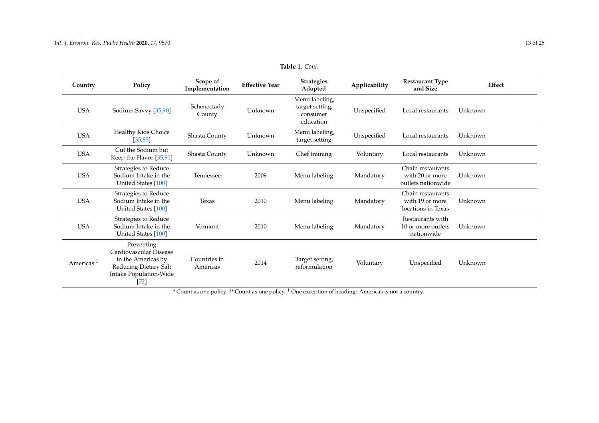| Country               | Policy                                                                                                                  | Scope of<br>Implementation | <b>Effective Year</b> | <b>Strategies</b><br>Adopted                               | Applicability | <b>Restaurant Type</b><br>and Size                         | Effect  |
|-----------------------|-------------------------------------------------------------------------------------------------------------------------|----------------------------|-----------------------|------------------------------------------------------------|---------------|------------------------------------------------------------|---------|
| <b>USA</b>            | Sodium Savvy [35,90]                                                                                                    | Schenectady<br>County      | Unknown               | Menu labeling,<br>target setting,<br>consumer<br>education | Unspecified   | Local restaurants                                          | Unknown |
| <b>USA</b>            | Healthy Kids Choice<br>[35, 85]                                                                                         | Shasta County              | Unknown               | Menu labeling,<br>target setting                           | Unspecified   | Local restaurants                                          | Unknown |
| <b>USA</b>            | Cut the Sodium but<br>Keep the Flavor [35,91]                                                                           | Shasta County              | Unknown               | Chef training                                              | Voluntary     | Local restaurants                                          | Unknown |
| <b>USA</b>            | Strategies to Reduce<br>Sodium Intake in the<br>United States [100]                                                     | Tennessee                  | 2009                  | Menu labeling                                              | Mandatory     | Chain restaurants<br>with 20 or more<br>outlets nationwide | Unknown |
| <b>USA</b>            | Strategies to Reduce<br>Sodium Intake in the<br>United States [100]                                                     | Texas                      | 2010                  | Menu labeling                                              | Mandatory     | Chain restaurants<br>with 19 or more<br>locations in Texas | Unknown |
| <b>USA</b>            | Strategies to Reduce<br>Sodium Intake in the<br>United States [100]                                                     | Vermont                    | 2010                  | Menu labeling                                              | Mandatory     | Restaurants with<br>10 or more outlets<br>nationwide       | Unknown |
| Americas <sup>1</sup> | Preventing<br>Cardiovascular Disease<br>in the Americas by<br>Reducing Dietary Salt<br>Intake Population-Wide<br>$[72]$ | Countries in<br>Americas   | 2014                  | Target setting,<br>reformulation                           | Voluntary     | Unspecified                                                | Unknown |

**Table 1.** *Cont.*

<span id="page-12-0"></span>\* Count as one policy. \*\* Count as one policy. <sup>1</sup> One exception of heading: Americas is not a country.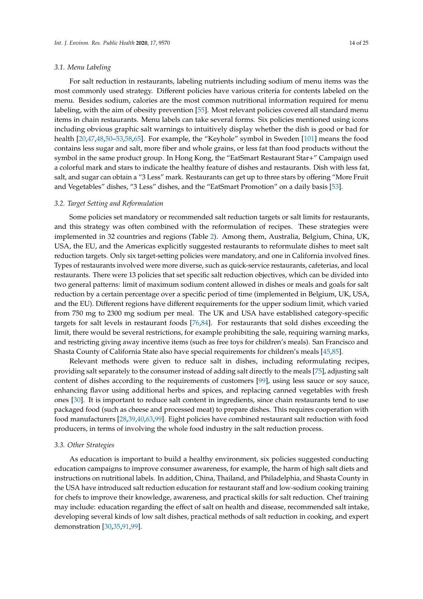## *3.1. Menu Labeling*

For salt reduction in restaurants, labeling nutrients including sodium of menu items was the most commonly used strategy. Different policies have various criteria for contents labeled on the menu. Besides sodium, calories are the most common nutritional information required for menu labeling, with the aim of obesity prevention [\[55\]](#page-21-14). Most relevant policies covered all standard menu items in chain restaurants. Menu labels can take several forms. Six policies mentioned using icons including obvious graphic salt warnings to intuitively display whether the dish is good or bad for health [\[20](#page-19-15)[,47](#page-21-15)[,48](#page-21-16)[,50](#page-21-17)[–53](#page-21-18)[,58](#page-21-19)[,65\]](#page-22-14). For example, the "Keyhole" symbol in Sweden [\[101\]](#page-23-17) means the food contains less sugar and salt, more fiber and whole grains, or less fat than food products without the symbol in the same product group. In Hong Kong, the "EatSmart Restaurant Star+" Campaign used a colorful mark and stars to indicate the healthy feature of dishes and restaurants. Dish with less fat, salt, and sugar can obtain a "3 Less" mark. Restaurants can get up to three stars by offering "More Fruit and Vegetables" dishes, "3 Less" dishes, and the "EatSmart Promotion" on a daily basis [\[53\]](#page-21-18).

#### *3.2. Target Setting and Reformulation*

Some policies set mandatory or recommended salt reduction targets or salt limits for restaurants, and this strategy was often combined with the reformulation of recipes. These strategies were implemented in 32 countries and regions (Table [2\)](#page-14-0). Among them, Australia, Belgium, China, UK, USA, the EU, and the Americas explicitly suggested restaurants to reformulate dishes to meet salt reduction targets. Only six target-setting policies were mandatory, and one in California involved fines. Types of restaurants involved were more diverse, such as quick-service restaurants, cafeterias, and local restaurants. There were 13 policies that set specific salt reduction objectives, which can be divided into two general patterns: limit of maximum sodium content allowed in dishes or meals and goals for salt reduction by a certain percentage over a specific period of time (implemented in Belgium, UK, USA, and the EU). Different regions have different requirements for the upper sodium limit, which varied from 750 mg to 2300 mg sodium per meal. The UK and USA have established category-specific targets for salt levels in restaurant foods [\[76,](#page-22-15)[84\]](#page-23-18). For restaurants that sold dishes exceeding the limit, there would be several restrictions, for example prohibiting the sale, requiring warning marks, and restricting giving away incentive items (such as free toys for children's meals). San Francisco and Shasta County of California State also have special requirements for children's meals [\[45](#page-21-20)[,85\]](#page-23-19).

Relevant methods were given to reduce salt in dishes, including reformulating recipes, providing salt separately to the consumer instead of adding salt directly to the meals [\[75\]](#page-22-16), adjusting salt content of dishes according to the requirements of customers [\[99\]](#page-23-20), using less sauce or soy sauce, enhancing flavor using additional herbs and spices, and replacing canned vegetables with fresh ones [\[30\]](#page-20-18). It is important to reduce salt content in ingredients, since chain restaurants tend to use packaged food (such as cheese and processed meat) to prepare dishes. This requires cooperation with food manufacturers [\[28,](#page-20-6)[39,](#page-20-19)[40](#page-20-20)[,63](#page-22-17)[,99\]](#page-23-20). Eight policies have combined restaurant salt reduction with food producers, in terms of involving the whole food industry in the salt reduction process.

#### *3.3. Other Strategies*

As education is important to build a healthy environment, six policies suggested conducting education campaigns to improve consumer awareness, for example, the harm of high salt diets and instructions on nutritional labels. In addition, China, Thailand, and Philadelphia, and Shasta County in the USA have introduced salt reduction education for restaurant staff and low-sodium cooking training for chefs to improve their knowledge, awareness, and practical skills for salt reduction. Chef training may include: education regarding the effect of salt on health and disease, recommended salt intake, developing several kinds of low salt dishes, practical methods of salt reduction in cooking, and expert demonstration [\[30](#page-20-18)[,35](#page-20-21)[,91](#page-23-21)[,99\]](#page-23-20).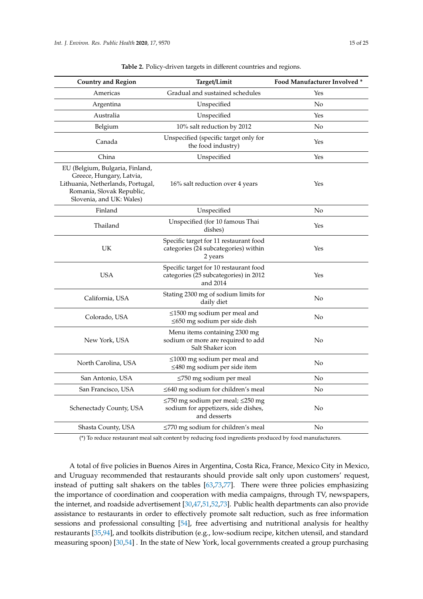<span id="page-14-0"></span>

| <b>Country and Region</b>                                                                                                                                 | Target/Limit                                                                                        | Food Manufacturer Involved * |
|-----------------------------------------------------------------------------------------------------------------------------------------------------------|-----------------------------------------------------------------------------------------------------|------------------------------|
| Americas                                                                                                                                                  | Gradual and sustained schedules                                                                     | Yes                          |
| Argentina                                                                                                                                                 | Unspecified                                                                                         | No                           |
| Australia                                                                                                                                                 | Unspecified                                                                                         | Yes                          |
| Belgium                                                                                                                                                   | 10% salt reduction by 2012                                                                          | No                           |
| Canada                                                                                                                                                    | Unspecified (specific target only for<br>the food industry)                                         | Yes                          |
| China                                                                                                                                                     | Unspecified                                                                                         | Yes                          |
| EU (Belgium, Bulgaria, Finland,<br>Greece, Hungary, Latvia,<br>Lithuania, Netherlands, Portugal,<br>Romania, Slovak Republic,<br>Slovenia, and UK: Wales) | 16% salt reduction over 4 years                                                                     | Yes                          |
| Finland                                                                                                                                                   | Unspecified                                                                                         | No                           |
| Thailand                                                                                                                                                  | Unspecified (for 10 famous Thai<br>dishes)                                                          | Yes                          |
| UK                                                                                                                                                        | Specific target for 11 restaurant food<br>categories (24 subcategories) within<br>2 years           | Yes                          |
| <b>USA</b>                                                                                                                                                | Specific target for 10 restaurant food<br>categories (25 subcategories) in 2012<br>and 2014         | Yes                          |
| California, USA                                                                                                                                           | Stating 2300 mg of sodium limits for<br>daily diet                                                  | No                           |
| Colorado, USA                                                                                                                                             | $\leq$ 1500 mg sodium per meal and<br>$\leq$ 650 mg sodium per side dish                            | No                           |
| New York, USA                                                                                                                                             | Menu items containing 2300 mg<br>sodium or more are required to add<br>Salt Shaker icon             | No                           |
| North Carolina, USA                                                                                                                                       | $\leq$ 1000 mg sodium per meal and<br>$\leq$ 480 mg sodium per side item                            | No                           |
| San Antonio, USA                                                                                                                                          | $\leq$ 750 mg sodium per meal                                                                       | No                           |
| San Francisco, USA                                                                                                                                        | $\leq$ 640 mg sodium for children's meal                                                            | No                           |
| Schenectady County, USA                                                                                                                                   | $\leq$ 750 mg sodium per meal; $\leq$ 250 mg<br>sodium for appetizers, side dishes,<br>and desserts | No                           |
| Shasta County, USA                                                                                                                                        | ≤770 mg sodium for children's meal                                                                  | No                           |

**Table 2.** Policy-driven targets in different countries and regions.

(\*) To reduce restaurant meal salt content by reducing food ingredients produced by food manufacturers.

A total of five policies in Buenos Aires in Argentina, Costa Rica, France, Mexico City in Mexico, and Uruguay recommended that restaurants should provide salt only upon customers' request, instead of putting salt shakers on the tables [\[63](#page-22-17)[,73](#page-22-18)[,77\]](#page-22-19). There were three policies emphasizing the importance of coordination and cooperation with media campaigns, through TV, newspapers, the internet, and roadside advertisement [\[30,](#page-20-18)[47,](#page-21-15)[51](#page-21-21)[,52](#page-21-22)[,73\]](#page-22-18). Public health departments can also provide assistance to restaurants in order to effectively promote salt reduction, such as free information sessions and professional consulting [\[54\]](#page-21-23), free advertising and nutritional analysis for healthy restaurants [\[35](#page-20-21)[,94\]](#page-23-22), and toolkits distribution (e.g., low-sodium recipe, kitchen utensil, and standard measuring spoon) [\[30](#page-20-18)[,54\]](#page-21-23) . In the state of New York, local governments created a group purchasing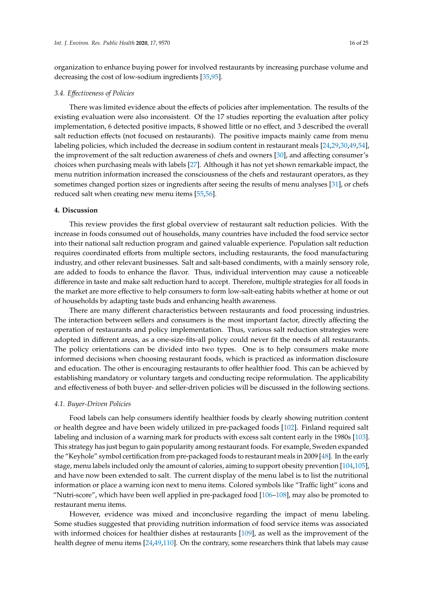organization to enhance buying power for involved restaurants by increasing purchase volume and decreasing the cost of low-sodium ingredients [\[35,](#page-20-21)[95\]](#page-23-23).

## *3.4. E*ff*ectiveness of Policies*

There was limited evidence about the effects of policies after implementation. The results of the existing evaluation were also inconsistent. Of the 17 studies reporting the evaluation after policy implementation, 6 detected positive impacts, 8 showed little or no effect, and 3 described the overall salt reduction effects (not focused on restaurants). The positive impacts mainly came from menu labeling policies, which included the decrease in sodium content in restaurant meals [\[24](#page-20-0)[,29](#page-20-22)[,30,](#page-20-18)[49,](#page-21-24)[54\]](#page-21-23), the improvement of the salt reduction awareness of chefs and owners [\[30\]](#page-20-18), and affecting consumer's choices when purchasing meals with labels [\[27\]](#page-20-8). Although it has not yet shown remarkable impact, the menu nutrition information increased the consciousness of the chefs and restaurant operators, as they sometimes changed portion sizes or ingredients after seeing the results of menu analyses [\[31\]](#page-20-23), or chefs reduced salt when creating new menu items [\[55](#page-21-14)[,56\]](#page-21-25).

#### **4. Discussion**

This review provides the first global overview of restaurant salt reduction policies. With the increase in foods consumed out of households, many countries have included the food service sector into their national salt reduction program and gained valuable experience. Population salt reduction requires coordinated efforts from multiple sectors, including restaurants, the food manufacturing industry, and other relevant businesses. Salt and salt-based condiments, with a mainly sensory role, are added to foods to enhance the flavor. Thus, individual intervention may cause a noticeable difference in taste and make salt reduction hard to accept. Therefore, multiple strategies for all foods in the market are more effective to help consumers to form low-salt-eating habits whether at home or out of households by adapting taste buds and enhancing health awareness.

There are many different characteristics between restaurants and food processing industries. The interaction between sellers and consumers is the most important factor, directly affecting the operation of restaurants and policy implementation. Thus, various salt reduction strategies were adopted in different areas, as a one-size-fits-all policy could never fit the needs of all restaurants. The policy orientations can be divided into two types. One is to help consumers make more informed decisions when choosing restaurant foods, which is practiced as information disclosure and education. The other is encouraging restaurants to offer healthier food. This can be achieved by establishing mandatory or voluntary targets and conducting recipe reformulation. The applicability and effectiveness of both buyer- and seller-driven policies will be discussed in the following sections.

#### *4.1. Buyer-Driven Policies*

Food labels can help consumers identify healthier foods by clearly showing nutrition content or health degree and have been widely utilized in pre-packaged foods [\[102\]](#page-24-0). Finland required salt labeling and inclusion of a warning mark for products with excess salt content early in the 1980s [\[103\]](#page-24-1). This strategy has just begun to gain popularity among restaurant foods. For example, Sweden expanded the "Keyhole" symbol certification from pre-packaged foods to restaurant meals in 2009 [\[48\]](#page-21-16). In the early stage, menu labels included only the amount of calories, aiming to support obesity prevention [\[104](#page-24-2)[,105\]](#page-24-3), and have now been extended to salt. The current display of the menu label is to list the nutritional information or place a warning icon next to menu items. Colored symbols like "Traffic light" icons and "Nutri-score", which have been well applied in pre-packaged food [\[106–](#page-24-4)[108\]](#page-24-5), may also be promoted to restaurant menu items.

However, evidence was mixed and inconclusive regarding the impact of menu labeling. Some studies suggested that providing nutrition information of food service items was associated with informed choices for healthier dishes at restaurants [\[109\]](#page-24-6), as well as the improvement of the health degree of menu items [\[24](#page-20-0)[,49,](#page-21-24)[110\]](#page-24-7). On the contrary, some researchers think that labels may cause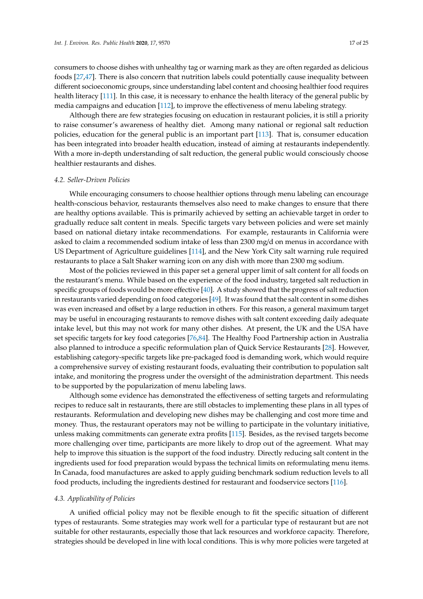consumers to choose dishes with unhealthy tag or warning mark as they are often regarded as delicious foods [\[27](#page-20-8)[,47\]](#page-21-15). There is also concern that nutrition labels could potentially cause inequality between different socioeconomic groups, since understanding label content and choosing healthier food requires health literacy [\[111\]](#page-24-8). In this case, it is necessary to enhance the health literacy of the general public by media campaigns and education [\[112\]](#page-24-9), to improve the effectiveness of menu labeling strategy.

Although there are few strategies focusing on education in restaurant policies, it is still a priority to raise consumer's awareness of healthy diet. Among many national or regional salt reduction policies, education for the general public is an important part [\[113\]](#page-24-10). That is, consumer education has been integrated into broader health education, instead of aiming at restaurants independently. With a more in-depth understanding of salt reduction, the general public would consciously choose healthier restaurants and dishes.

## *4.2. Seller-Driven Policies*

While encouraging consumers to choose healthier options through menu labeling can encourage health-conscious behavior, restaurants themselves also need to make changes to ensure that there are healthy options available. This is primarily achieved by setting an achievable target in order to gradually reduce salt content in meals. Specific targets vary between policies and were set mainly based on national dietary intake recommendations. For example, restaurants in California were asked to claim a recommended sodium intake of less than 2300 mg/d on menus in accordance with US Department of Agriculture guidelines [\[114\]](#page-24-11), and the New York City salt warning rule required restaurants to place a Salt Shaker warning icon on any dish with more than 2300 mg sodium.

Most of the policies reviewed in this paper set a general upper limit of salt content for all foods on the restaurant's menu. While based on the experience of the food industry, targeted salt reduction in specific groups of foods would be more effective [\[40\]](#page-20-20). A study showed that the progress of salt reduction in restaurants varied depending on food categories [\[49\]](#page-21-24). It was found that the salt content in some dishes was even increased and offset by a large reduction in others. For this reason, a general maximum target may be useful in encouraging restaurants to remove dishes with salt content exceeding daily adequate intake level, but this may not work for many other dishes. At present, the UK and the USA have set specific targets for key food categories [\[76,](#page-22-15)[84\]](#page-23-18). The Healthy Food Partnership action in Australia also planned to introduce a specific reformulation plan of Quick Service Restaurants [\[28\]](#page-20-6). However, establishing category-specific targets like pre-packaged food is demanding work, which would require a comprehensive survey of existing restaurant foods, evaluating their contribution to population salt intake, and monitoring the progress under the oversight of the administration department. This needs to be supported by the popularization of menu labeling laws.

Although some evidence has demonstrated the effectiveness of setting targets and reformulating recipes to reduce salt in restaurants, there are still obstacles to implementing these plans in all types of restaurants. Reformulation and developing new dishes may be challenging and cost more time and money. Thus, the restaurant operators may not be willing to participate in the voluntary initiative, unless making commitments can generate extra profits [\[115\]](#page-24-12). Besides, as the revised targets become more challenging over time, participants are more likely to drop out of the agreement. What may help to improve this situation is the support of the food industry. Directly reducing salt content in the ingredients used for food preparation would bypass the technical limits on reformulating menu items. In Canada, food manufactures are asked to apply guiding benchmark sodium reduction levels to all food products, including the ingredients destined for restaurant and foodservice sectors [\[116\]](#page-24-13).

#### *4.3. Applicability of Policies*

A unified official policy may not be flexible enough to fit the specific situation of different types of restaurants. Some strategies may work well for a particular type of restaurant but are not suitable for other restaurants, especially those that lack resources and workforce capacity. Therefore, strategies should be developed in line with local conditions. This is why more policies were targeted at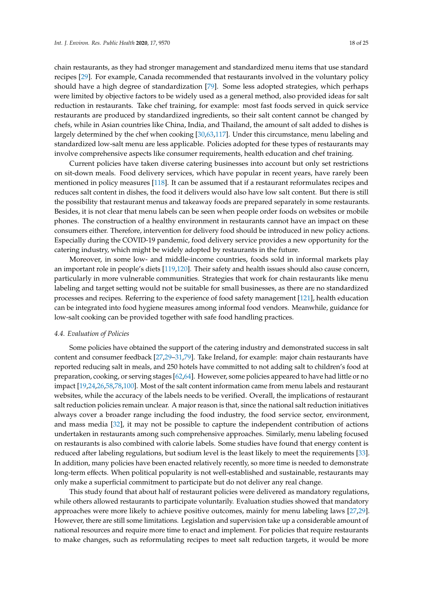chain restaurants, as they had stronger management and standardized menu items that use standard recipes [\[29\]](#page-20-22). For example, Canada recommended that restaurants involved in the voluntary policy should have a high degree of standardization [\[79\]](#page-22-20). Some less adopted strategies, which perhaps were limited by objective factors to be widely used as a general method, also provided ideas for salt reduction in restaurants. Take chef training, for example: most fast foods served in quick service restaurants are produced by standardized ingredients, so their salt content cannot be changed by chefs, while in Asian countries like China, India, and Thailand, the amount of salt added to dishes is largely determined by the chef when cooking [\[30](#page-20-18)[,63,](#page-22-17)[117\]](#page-24-14). Under this circumstance, menu labeling and standardized low-salt menu are less applicable. Policies adopted for these types of restaurants may involve comprehensive aspects like consumer requirements, health education and chef training.

Current policies have taken diverse catering businesses into account but only set restrictions on sit-down meals. Food delivery services, which have popular in recent years, have rarely been mentioned in policy measures [\[118\]](#page-24-15). It can be assumed that if a restaurant reformulates recipes and reduces salt content in dishes, the food it delivers would also have low salt content. But there is still the possibility that restaurant menus and takeaway foods are prepared separately in some restaurants. Besides, it is not clear that menu labels can be seen when people order foods on websites or mobile phones. The construction of a healthy environment in restaurants cannot have an impact on these consumers either. Therefore, intervention for delivery food should be introduced in new policy actions. Especially during the COVID-19 pandemic, food delivery service provides a new opportunity for the catering industry, which might be widely adopted by restaurants in the future.

Moreover, in some low- and middle-income countries, foods sold in informal markets play an important role in people's diets [\[119,](#page-24-16)[120\]](#page-24-17). Their safety and health issues should also cause concern, particularly in more vulnerable communities. Strategies that work for chain restaurants like menu labeling and target setting would not be suitable for small businesses, as there are no standardized processes and recipes. Referring to the experience of food safety management [\[121\]](#page-24-18), health education can be integrated into food hygiene measures among informal food vendors. Meanwhile, guidance for low-salt cooking can be provided together with safe food handling practices.

## *4.4. Evaluation of Policies*

Some policies have obtained the support of the catering industry and demonstrated success in salt content and consumer feedback [\[27](#page-20-8)[,29–](#page-20-22)[31,](#page-20-23)[79\]](#page-22-20). Take Ireland, for example: major chain restaurants have reported reducing salt in meals, and 250 hotels have committed to not adding salt to children's food at preparation, cooking, or serving stages [\[62](#page-22-21)[,64\]](#page-22-22). However, some policies appeared to have had little or no impact [\[19,](#page-19-14)[24,](#page-20-0)[26,](#page-20-24)[58](#page-21-19)[,78](#page-22-23)[,100\]](#page-23-0). Most of the salt content information came from menu labels and restaurant websites, while the accuracy of the labels needs to be verified. Overall, the implications of restaurant salt reduction policies remain unclear. A major reason is that, since the national salt reduction initiatives always cover a broader range including the food industry, the food service sector, environment, and mass media [\[32\]](#page-20-5), it may not be possible to capture the independent contribution of actions undertaken in restaurants among such comprehensive approaches. Similarly, menu labeling focused on restaurants is also combined with calorie labels. Some studies have found that energy content is reduced after labeling regulations, but sodium level is the least likely to meet the requirements [\[33\]](#page-20-25). In addition, many policies have been enacted relatively recently, so more time is needed to demonstrate long-term effects. When political popularity is not well-established and sustainable, restaurants may only make a superficial commitment to participate but do not deliver any real change.

This study found that about half of restaurant policies were delivered as mandatory regulations, while others allowed restaurants to participate voluntarily. Evaluation studies showed that mandatory approaches were more likely to achieve positive outcomes, mainly for menu labeling laws [\[27,](#page-20-8)[29\]](#page-20-22). However, there are still some limitations. Legislation and supervision take up a considerable amount of national resources and require more time to enact and implement. For policies that require restaurants to make changes, such as reformulating recipes to meet salt reduction targets, it would be more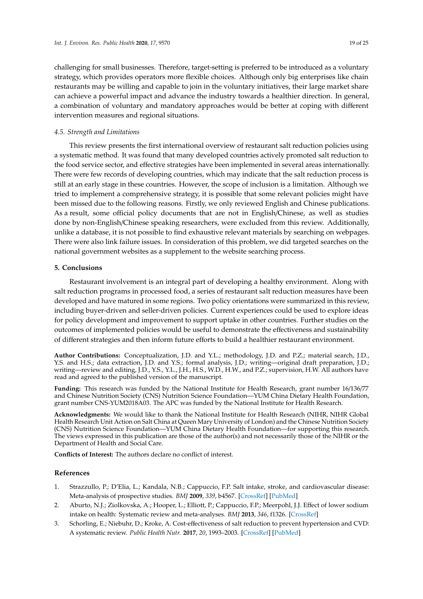challenging for small businesses. Therefore, target-setting is preferred to be introduced as a voluntary strategy, which provides operators more flexible choices. Although only big enterprises like chain restaurants may be willing and capable to join in the voluntary initiatives, their large market share can achieve a powerful impact and advance the industry towards a healthier direction. In general, a combination of voluntary and mandatory approaches would be better at coping with different intervention measures and regional situations.

## *4.5. Strength and Limitations*

This review presents the first international overview of restaurant salt reduction policies using a systematic method. It was found that many developed countries actively promoted salt reduction to the food service sector, and effective strategies have been implemented in several areas internationally. There were few records of developing countries, which may indicate that the salt reduction process is still at an early stage in these countries. However, the scope of inclusion is a limitation. Although we tried to implement a comprehensive strategy, it is possible that some relevant policies might have been missed due to the following reasons. Firstly, we only reviewed English and Chinese publications. As a result, some official policy documents that are not in English/Chinese, as well as studies done by non-English/Chinese speaking researchers, were excluded from this review. Additionally, unlike a database, it is not possible to find exhaustive relevant materials by searching on webpages. There were also link failure issues. In consideration of this problem, we did targeted searches on the national government websites as a supplement to the website searching process.

# **5. Conclusions**

Restaurant involvement is an integral part of developing a healthy environment. Along with salt reduction programs in processed food, a series of restaurant salt reduction measures have been developed and have matured in some regions. Two policy orientations were summarized in this review, including buyer-driven and seller-driven policies. Current experiences could be used to explore ideas for policy development and improvement to support uptake in other countries. Further studies on the outcomes of implemented policies would be useful to demonstrate the effectiveness and sustainability of different strategies and then inform future efforts to build a healthier restaurant environment.

**Author Contributions:** Conceptualization, J.D. and Y.L.; methodology, J.D. and P.Z.; material search, J.D., Y.S. and H.S.; data extraction, J.D. and Y.S.; formal analysis, J.D.; writing—original draft preparation, J.D.; writing—review and editing, J.D., Y.S., Y.L., J.H., H.S., W.D., H.W., and P.Z.; supervision, H.W. All authors have read and agreed to the published version of the manuscript.

**Funding:** This research was funded by the National Institute for Health Research, grant number 16/136/77 and Chinese Nutrition Society (CNS) Nutrition Science Foundation—YUM China Dietary Health Foundation, grant number CNS-YUM2018A03. The APC was funded by the National Institute for Health Research.

**Acknowledgments:** We would like to thank the National Institute for Health Research (NIHR, NIHR Global Health Research Unit Action on Salt China at Queen Mary University of London) and the Chinese Nutrition Society (CNS) Nutrition Science Foundation—YUM China Dietary Health Foundation—for supporting this research. The views expressed in this publication are those of the author(s) and not necessarily those of the NIHR or the Department of Health and Social Care.

**Conflicts of Interest:** The authors declare no conflict of interest.

#### **References**

- <span id="page-18-0"></span>1. Strazzullo, P.; D'Elia, L.; Kandala, N.B.; Cappuccio, F.P. Salt intake, stroke, and cardiovascular disease: Meta-analysis of prospective studies. *BMJ* **2009**, *339*, b4567. [\[CrossRef\]](http://dx.doi.org/10.1136/bmj.b4567) [\[PubMed\]](http://www.ncbi.nlm.nih.gov/pubmed/19934192)
- <span id="page-18-1"></span>2. Aburto, N.J.; Ziolkovska, A.; Hooper, L.; Elliott, P.; Cappuccio, F.P.; Meerpohl, J.J. Effect of lower sodium intake on health: Systematic review and meta-analyses. *BMJ* **2013**, *346*, f1326. [\[CrossRef\]](http://dx.doi.org/10.1136/bmj.f1326)
- 3. Schorling, E.; Niebuhr, D.; Kroke, A. Cost-effectiveness of salt reduction to prevent hypertension and CVD: A systematic review. *Public Health Nutr.* **2017**, *20*, 1993–2003. [\[CrossRef\]](http://dx.doi.org/10.1017/S1368980017000593) [\[PubMed\]](http://www.ncbi.nlm.nih.gov/pubmed/28487006)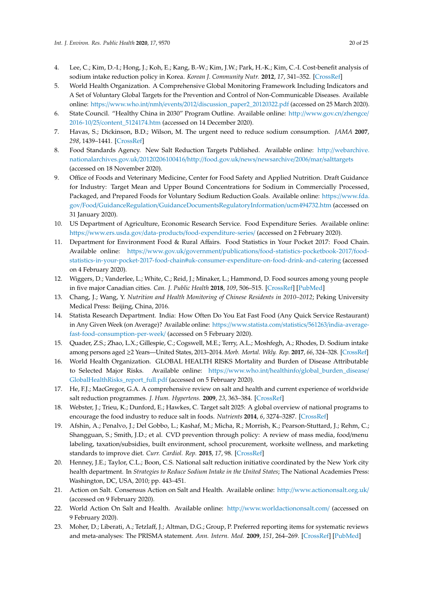- <span id="page-19-0"></span>4. Lee, C.; Kim, D.-I.; Hong, J.; Koh, E.; Kang, B.-W.; Kim, J.W.; Park, H.-K.; Kim, C.-I. Cost-benefit analysis of sodium intake reduction policy in Korea. *Korean J. Community Nutr.* **2012**, *17*, 341–352. [\[CrossRef\]](http://dx.doi.org/10.5720/kjcn.2012.17.3.341)
- <span id="page-19-1"></span>5. World Health Organization. A Comprehensive Global Monitoring Framework Including Indicators and A Set of Voluntary Global Targets for the Prevention and Control of Non-Communicable Diseases. Available online: https://www.who.int/nmh/events/2012/[discussion\\_paper2\\_20120322.pdf](https://www.who.int/nmh/events/2012/discussion_paper2_20120322.pdf) (accessed on 25 March 2020).
- <span id="page-19-2"></span>6. State Council. "Healthy China in 2030" Program Outline. Available online: http://[www.gov.cn](http://www.gov.cn/zhengce/2016-10/25/content_5124174.htm)/zhengce/ 2016-10/25/[content\\_5124174.htm](http://www.gov.cn/zhengce/2016-10/25/content_5124174.htm) (accessed on 14 December 2020).
- <span id="page-19-3"></span>7. Havas, S.; Dickinson, B.D.; Wilson, M. The urgent need to reduce sodium consumption. *JAMA* **2007**, *298*, 1439–1441. [\[CrossRef\]](http://dx.doi.org/10.1001/jama.298.12.1439)
- <span id="page-19-4"></span>8. Food Standards Agency. New Salt Reduction Targets Published. Available online: http://[webarchive.](http://webarchive.nationalarchives.gov.uk/20120206100416/http://food.gov.uk/news/newsarchive/2006/mar/salttargets) [nationalarchives.gov.uk](http://webarchive.nationalarchives.gov.uk/20120206100416/http://food.gov.uk/news/newsarchive/2006/mar/salttargets)/20120206100416/http://food.gov.uk/news/newsarchive/2006/mar/salttargets (accessed on 18 November 2020).
- <span id="page-19-5"></span>9. Office of Foods and Veterinary Medicine, Center for Food Safety and Applied Nutrition. Draft Guidance for Industry: Target Mean and Upper Bound Concentrations for Sodium in Commercially Processed, Packaged, and Prepared Foods for Voluntary Sodium Reduction Goals. Available online: https://[www.fda.](https://www.fda.gov/Food/GuidanceRegulation/GuidanceDocumentsRegulatoryInformation/ucm494732.htm) gov/Food/GuidanceRegulation/[GuidanceDocumentsRegulatoryInformation](https://www.fda.gov/Food/GuidanceRegulation/GuidanceDocumentsRegulatoryInformation/ucm494732.htm)/ucm494732.htm (accessed on 31 January 2020).
- <span id="page-19-6"></span>10. US Department of Agriculture, Economic Research Service. Food Expenditure Series. Available online: https://www.ers.usda.gov/data-products/[food-expenditure-series](https://www.ers.usda.gov/data-products/food-expenditure-series/)/ (accessed on 2 February 2020).
- <span id="page-19-19"></span><span id="page-19-7"></span>11. Department for Environment Food & Rural Affairs. Food Statistics in Your Pocket 2017: Food Chain. Available online: https://www.gov.uk/government/publications/[food-statistics-pocketbook-2017](https://www.gov.uk/government/publications/food-statistics-pocketbook-2017/food-statistics-in-your-pocket-2017-food-chain#uk-consumer-expenditure-on-food-drink-and-catering)/food[statistics-in-your-pocket-2017-food-chain#uk-consumer-expenditure-on-food-drink-and-catering](https://www.gov.uk/government/publications/food-statistics-pocketbook-2017/food-statistics-in-your-pocket-2017-food-chain#uk-consumer-expenditure-on-food-drink-and-catering) (accessed on 4 February 2020).
- <span id="page-19-20"></span><span id="page-19-8"></span>12. Wiggers, D.; Vanderlee, L.; White, C.; Reid, J.; Minaker, L.; Hammond, D. Food sources among young people in five major Canadian cities. *Can. J. Public Health* **2018**, *109*, 506–515. [\[CrossRef\]](http://dx.doi.org/10.17269/s41997-018-0083-0) [\[PubMed\]](http://www.ncbi.nlm.nih.gov/pubmed/29981100)
- <span id="page-19-9"></span>13. Chang, J.; Wang, Y. *Nutrition and Health Monitoring of Chinese Residents in 2010–2012*; Peking University Medical Press: Beijing, China, 2016.
- <span id="page-19-10"></span>14. Statista Research Department. India: How Often Do You Eat Fast Food (Any Quick Service Restaurant) in Any Given Week (on Average)? Available online: https://[www.statista.com](https://www.statista.com/statistics/561263/india-average-fast-food-consumption-per-week/)/statistics/561263/india-average[fast-food-consumption-per-week](https://www.statista.com/statistics/561263/india-average-fast-food-consumption-per-week/)/ (accessed on 5 February 2020).
- <span id="page-19-11"></span>15. Quader, Z.S.; Zhao, L.X.; Gillespie, C.; Cogswell, M.E.; Terry, A.L.; Moshfegh, A.; Rhodes, D. Sodium intake among persons aged ≥2 Years—United States, 2013–2014. *Morb. Mortal. Wkly. Rep.* **2017**, *66*, 324–328. [\[CrossRef\]](http://dx.doi.org/10.15585/mmwr.mm6612a3)
- <span id="page-19-12"></span>16. World Health Organization. GLOBAL HEALTH RISKS Mortality and Burden of Disease Attributable to Selected Major Risks. Available online: https://www.who.int/healthinfo/[global\\_burden\\_disease](https://www.who.int/healthinfo/global_burden_disease/GlobalHealthRisks_report_full.pdf)/ [GlobalHealthRisks\\_report\\_full.pdf](https://www.who.int/healthinfo/global_burden_disease/GlobalHealthRisks_report_full.pdf) (accessed on 5 February 2020).
- <span id="page-19-13"></span>17. He, F.J.; MacGregor, G.A. A comprehensive review on salt and health and current experience of worldwide salt reduction programmes. *J. Hum. Hypertens.* **2009**, *23*, 363–384. [\[CrossRef\]](http://dx.doi.org/10.1038/jhh.2008.144)
- 18. Webster, J.; Trieu, K.; Dunford, E.; Hawkes, C. Target salt 2025: A global overview of national programs to encourage the food industry to reduce salt in foods. *Nutrients* **2014**, *6*, 3274–3287. [\[CrossRef\]](http://dx.doi.org/10.3390/nu6083274)
- <span id="page-19-14"></span>19. Afshin, A.; Penalvo, J.; Del Gobbo, L.; Kashaf, M.; Micha, R.; Morrish, K.; Pearson-Stuttard, J.; Rehm, C.; Shangguan, S.; Smith, J.D.; et al. CVD prevention through policy: A review of mass media, food/menu labeling, taxation/subsidies, built environment, school procurement, worksite wellness, and marketing standards to improve diet. *Curr. Cardiol. Rep.* **2015**, *17*, 98. [\[CrossRef\]](http://dx.doi.org/10.1007/s11886-015-0658-9)
- <span id="page-19-15"></span>20. Henney, J.E.; Taylor, C.L.; Boon, C.S. National salt reduction initiative coordinated by the New York city health department. In *Strategies to Reduce Sodium Intake in the United States*; The National Academies Press: Washington, DC, USA, 2010; pp. 443–451.
- <span id="page-19-16"></span>21. Action on Salt. Consensus Action on Salt and Health. Available online: http://[www.actiononsalt.org.uk](http://www.actiononsalt.org.uk/)/ (accessed on 9 February 2020).
- <span id="page-19-17"></span>22. World Action On Salt and Health. Available online: http://[www.worldactiononsalt.com](http://www.worldactiononsalt.com/)/ (accessed on 9 February 2020).
- <span id="page-19-18"></span>23. Moher, D.; Liberati, A.; Tetzlaff, J.; Altman, D.G.; Group, P. Preferred reporting items for systematic reviews and meta-analyses: The PRISMA statement. *Ann. Intern. Med.* **2009**, *151*, 264–269. [\[CrossRef\]](http://dx.doi.org/10.7326/0003-4819-151-4-200908180-00135) [\[PubMed\]](http://www.ncbi.nlm.nih.gov/pubmed/19622511)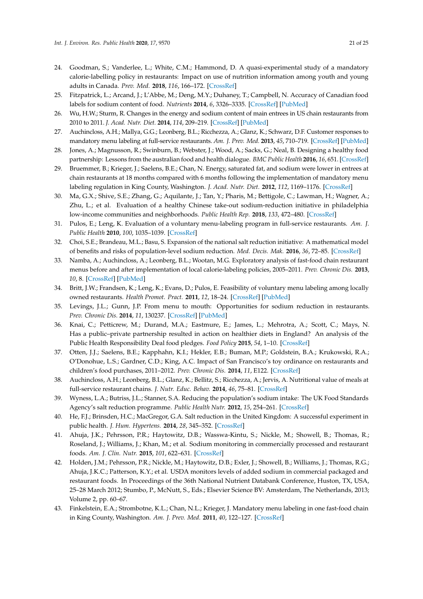- <span id="page-20-15"></span><span id="page-20-14"></span><span id="page-20-13"></span><span id="page-20-11"></span><span id="page-20-10"></span><span id="page-20-9"></span><span id="page-20-7"></span><span id="page-20-3"></span><span id="page-20-2"></span><span id="page-20-1"></span><span id="page-20-0"></span>24. Goodman, S.; Vanderlee, L.; White, C.M.; Hammond, D. A quasi-experimental study of a mandatory calorie-labelling policy in restaurants: Impact on use of nutrition information among youth and young adults in Canada. *Prev. Med.* **2018**, *116*, 166–172. [\[CrossRef\]](http://dx.doi.org/10.1016/j.ypmed.2018.09.013)
- 25. Fitzpatrick, L.; Arcand, J.; L'Abbe, M.; Deng, M.Y.; Duhaney, T.; Campbell, N. Accuracy of Canadian food labels for sodium content of food. *Nutrients* **2014**, *6*, 3326–3335. [\[CrossRef\]](http://dx.doi.org/10.3390/nu6083326) [\[PubMed\]](http://www.ncbi.nlm.nih.gov/pubmed/25153971)
- <span id="page-20-24"></span><span id="page-20-16"></span>26. Wu, H.W.; Sturm, R. Changes in the energy and sodium content of main entrees in US chain restaurants from 2010 to 2011. *J. Acad. Nutr. Diet.* **2014**, *114*, 209–219. [\[CrossRef\]](http://dx.doi.org/10.1016/j.jand.2013.07.035) [\[PubMed\]](http://www.ncbi.nlm.nih.gov/pubmed/24095622)
- <span id="page-20-8"></span>27. Auchincloss, A.H.; Mallya, G.G.; Leonberg, B.L.; Ricchezza, A.; Glanz, K.; Schwarz, D.F. Customer responses to mandatory menu labeling at full-service restaurants. *Am. J. Prev. Med.* **2013**, *45*, 710–719. [\[CrossRef\]](http://dx.doi.org/10.1016/j.amepre.2013.07.014) [\[PubMed\]](http://www.ncbi.nlm.nih.gov/pubmed/24237912)
- <span id="page-20-6"></span>28. Jones, A.; Magnusson, R.; Swinburn, B.; Webster, J.; Wood, A.; Sacks, G.; Neal, B. Designing a healthy food partnership: Lessons from the australian food and health dialogue. *BMC Public Health* **2016**, *16*, 651. [\[CrossRef\]](http://dx.doi.org/10.1186/s12889-016-3302-8)
- <span id="page-20-22"></span><span id="page-20-17"></span>29. Bruemmer, B.; Krieger, J.; Saelens, B.E.; Chan, N. Energy, saturated fat, and sodium were lower in entrees at chain restaurants at 18 months compared with 6 months following the implementation of mandatory menu labeling regulation in King County, Washington. *J. Acad. Nutr. Diet.* **2012**, *112*, 1169–1176. [\[CrossRef\]](http://dx.doi.org/10.1016/j.jand.2012.04.019)
- <span id="page-20-18"></span>30. Ma, G.X.; Shive, S.E.; Zhang, G.; Aquilante, J.; Tan, Y.; Pharis, M.; Bettigole, C.; Lawman, H.; Wagner, A.; Zhu, L.; et al. Evaluation of a healthy Chinese take-out sodium-reduction initiative in philadelphia low-income communities and neighborhoods. *Public Health Rep.* **2018**, *133*, 472–480. [\[CrossRef\]](http://dx.doi.org/10.1177/0033354918773747)
- <span id="page-20-23"></span><span id="page-20-4"></span>31. Pulos, E.; Leng, K. Evaluation of a voluntary menu-labeling program in full-service restaurants. *Am. J. Public Health* **2010**, *100*, 1035–1039. [\[CrossRef\]](http://dx.doi.org/10.2105/AJPH.2009.174839)
- <span id="page-20-5"></span>32. Choi, S.E.; Brandeau, M.L.; Basu, S. Expansion of the national salt reduction initiative: A mathematical model of benefits and risks of population-level sodium reduction. *Med. Decis. Mak.* **2016**, *36*, 72–85. [\[CrossRef\]](http://dx.doi.org/10.1177/0272989X15583846)
- <span id="page-20-25"></span>33. Namba, A.; Auchincloss, A.; Leonberg, B.L.; Wootan, M.G. Exploratory analysis of fast-food chain restaurant menus before and after implementation of local calorie-labeling policies, 2005–2011. *Prev. Chronic Dis.* **2013**, *10*, 8. [\[CrossRef\]](http://dx.doi.org/10.5888/pcd10.120224) [\[PubMed\]](http://www.ncbi.nlm.nih.gov/pubmed/23786908)
- 34. Britt, J.W.; Frandsen, K.; Leng, K.; Evans, D.; Pulos, E. Feasibility of voluntary menu labeling among locally owned restaurants. *Health Promot. Pract.* **2011**, *12*, 18–24. [\[CrossRef\]](http://dx.doi.org/10.1177/1524839910386182) [\[PubMed\]](http://www.ncbi.nlm.nih.gov/pubmed/21193801)
- <span id="page-20-21"></span>35. Levings, J.L.; Gunn, J.P. From menu to mouth: Opportunities for sodium reduction in restaurants. *Prev. Chronic Dis.* **2014**, *11*, 130237. [\[CrossRef\]](http://dx.doi.org/10.5888/pcd11.130237) [\[PubMed\]](http://www.ncbi.nlm.nih.gov/pubmed/24456646)
- <span id="page-20-12"></span>36. Knai, C.; Petticrew, M.; Durand, M.A.; Eastmure, E.; James, L.; Mehrotra, A.; Scott, C.; Mays, N. Has a public–private partnership resulted in action on healthier diets in England? An analysis of the Public Health Responsibility Deal food pledges. *Food Policy* **2015**, *54*, 1–10. [\[CrossRef\]](http://dx.doi.org/10.1016/j.foodpol.2015.04.002)
- 37. Otten, J.J.; Saelens, B.E.; Kapphahn, K.I.; Hekler, E.B.; Buman, M.P.; Goldstein, B.A.; Krukowski, R.A.; O'Donohue, L.S.; Gardner, C.D.; King, A.C. Impact of San Francisco's toy ordinance on restaurants and children's food purchases, 2011–2012. *Prev. Chronic Dis.* **2014**, *11*, E122. [\[CrossRef\]](http://dx.doi.org/10.5888/pcd11.140026)
- 38. Auchincloss, A.H.; Leonberg, B.L.; Glanz, K.; Bellitz, S.; Ricchezza, A.; Jervis, A. Nutritional value of meals at full-service restaurant chains. *J. Nutr. Educ. Behav.* **2014**, *46*, 75–81. [\[CrossRef\]](http://dx.doi.org/10.1016/j.jneb.2013.10.008)
- <span id="page-20-19"></span>39. Wyness, L.A.; Butriss, J.L.; Stanner, S.A. Reducing the population's sodium intake: The UK Food Standards Agency's salt reduction programme. *Public Health Nutr.* **2012**, *15*, 254–261. [\[CrossRef\]](http://dx.doi.org/10.1017/S1368980011000966)
- <span id="page-20-20"></span>40. He, F.J.; Brinsden, H.C.; MacGregor, G.A. Salt reduction in the United Kingdom: A successful experiment in public health. *J. Hum. Hypertens.* **2014**, *28*, 345–352. [\[CrossRef\]](http://dx.doi.org/10.1038/jhh.2013.105)
- 41. Ahuja, J.K.; Pehrsson, P.R.; Haytowitz, D.B.; Wasswa-Kintu, S.; Nickle, M.; Showell, B.; Thomas, R.; Roseland, J.; Williams, J.; Khan, M.; et al. Sodium monitoring in commercially processed and restaurant foods. *Am. J. Clin. Nutr.* **2015**, *101*, 622–631. [\[CrossRef\]](http://dx.doi.org/10.3945/ajcn.114.084954)
- 42. Holden, J.M.; Pehrsson, P.R.; Nickle, M.; Haytowitz, D.B.; Exler, J.; Showell, B.; Williams, J.; Thomas, R.G.; Ahuja, J.K.C.; Patterson, K.Y.; et al. USDA monitors levels of added sodium in commercial packaged and restaurant foods. In Proceedings of the 36th National Nutrient Databank Conference, Huston, TX, USA, 25–28 March 2012; Stumbo, P., McNutt, S., Eds.; Elsevier Science BV: Amsterdam, The Netherlands, 2013; Volume 2, pp. 60–67.
- 43. Finkelstein, E.A.; Strombotne, K.L.; Chan, N.L.; Krieger, J. Mandatory menu labeling in one fast-food chain in King County, Washington. *Am. J. Prev. Med.* **2011**, *40*, 122–127. [\[CrossRef\]](http://dx.doi.org/10.1016/j.amepre.2010.10.019)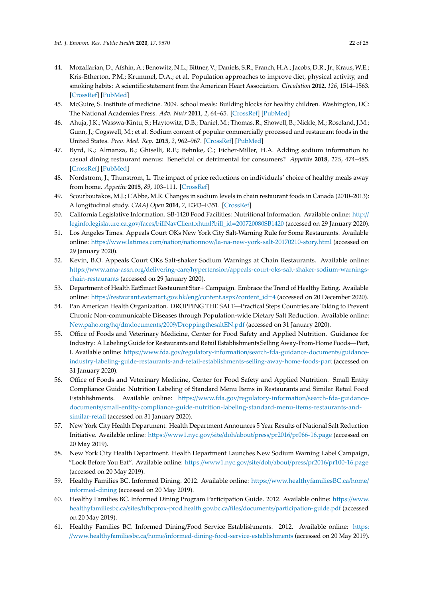- <span id="page-21-13"></span><span id="page-21-12"></span><span id="page-21-11"></span><span id="page-21-10"></span><span id="page-21-9"></span><span id="page-21-6"></span><span id="page-21-5"></span><span id="page-21-0"></span>44. Mozaffarian, D.; Afshin, A.; Benowitz, N.L.; Bittner, V.; Daniels, S.R.; Franch, H.A.; Jacobs, D.R., Jr.; Kraus, W.E.; Kris-Etherton, P.M.; Krummel, D.A.; et al. Population approaches to improve diet, physical activity, and smoking habits: A scientific statement from the American Heart Association. *Circulation* **2012**, *126*, 1514–1563. [\[CrossRef\]](http://dx.doi.org/10.1161/CIR.0b013e318260a20b) [\[PubMed\]](http://www.ncbi.nlm.nih.gov/pubmed/22907934)
- <span id="page-21-20"></span><span id="page-21-3"></span>45. McGuire, S. Institute of medicine. 2009. school meals: Building blocks for healthy children. Washington, DC: The National Academies Press. *Adv. Nutr* **2011**, *2*, 64–65. [\[CrossRef\]](http://dx.doi.org/10.3945/an.110.000018) [\[PubMed\]](http://www.ncbi.nlm.nih.gov/pubmed/22211191)
- <span id="page-21-4"></span>46. Ahuja, J.K.; Wasswa-Kintu, S.; Haytowitz, D.B.; Daniel, M.; Thomas, R.; Showell, B.; Nickle, M.; Roseland, J.M.; Gunn, J.; Cogswell, M.; et al. Sodium content of popular commercially processed and restaurant foods in the United States. *Prev. Med. Rep.* **2015**, *2*, 962–967. [\[CrossRef\]](http://dx.doi.org/10.1016/j.pmedr.2015.11.003) [\[PubMed\]](http://www.ncbi.nlm.nih.gov/pubmed/26844175)
- <span id="page-21-15"></span><span id="page-21-7"></span>47. Byrd, K.; Almanza, B.; Ghiselli, R.F.; Behnke, C.; Eicher-Miller, H.A. Adding sodium information to casual dining restaurant menus: Beneficial or detrimental for consumers? *Appetite* **2018**, *125*, 474–485. [\[CrossRef\]](http://dx.doi.org/10.1016/j.appet.2018.02.025) [\[PubMed\]](http://www.ncbi.nlm.nih.gov/pubmed/29501682)
- <span id="page-21-16"></span>48. Nordstrom, J.; Thunstrom, L. The impact of price reductions on individuals' choice of healthy meals away from home. *Appetite* **2015**, *89*, 103–111. [\[CrossRef\]](http://dx.doi.org/10.1016/j.appet.2015.01.023)
- <span id="page-21-24"></span><span id="page-21-8"></span>49. Scourboutakos, M.J.; L'Abbe, M.R. Changes in sodium levels in chain restaurant foods in Canada (2010–2013): A longitudinal study. *CMAJ Open* **2014**, *2*, E343–E351. [\[CrossRef\]](http://dx.doi.org/10.9778/cmajo.20140028)
- <span id="page-21-17"></span>50. California Legislative Information. SB-1420 Food Facilities: Nutritional Information. Available online: [http:](http://leginfo.legislature.ca.gov/faces/billNavClient.xhtml?bill_id=200720080SB1420)// leginfo.legislature.ca.gov/faces/[billNavClient.xhtml?bill\\_id](http://leginfo.legislature.ca.gov/faces/billNavClient.xhtml?bill_id=200720080SB1420)=200720080SB1420 (accessed on 29 January 2020).
- <span id="page-21-21"></span>51. Los Angeles Times. Appeals Court OKs New York City Salt-Warning Rule for Some Restaurants. Available online: https://www.latimes.com/nation/nationnow/[la-na-new-york-salt-20170210-story.html](https://www.latimes.com/nation/nationnow/la-na-new-york-salt-20170210-story.html) (accessed on 29 January 2020).
- <span id="page-21-22"></span>52. Kevin, B.O. Appeals Court OKs Salt-shaker Sodium Warnings at Chain Restaurants. Available online: https://www.ama-assn.org/delivering-care/hypertension/[appeals-court-oks-salt-shaker-sodium-warnings](https://www.ama-assn.org/delivering-care/hypertension/appeals-court-oks-salt-shaker-sodium-warnings-chain-restaurants)[chain-restaurants](https://www.ama-assn.org/delivering-care/hypertension/appeals-court-oks-salt-shaker-sodium-warnings-chain-restaurants) (accessed on 29 January 2020).
- <span id="page-21-18"></span>53. Department of Health EatSmart Restaurant Star+ Campaign. Embrace the Trend of Healthy Eating. Available online: https://[restaurant.eatsmart.gov.hk](https://restaurant.eatsmart.gov.hk/eng/content.aspx?content_id=4)/eng/content.aspx?content\_id=4 (accessed on 20 December 2020).
- <span id="page-21-23"></span><span id="page-21-1"></span>54. Pan American Health Organization. DROPPING THE SALT—Practical Steps Countries are Taking to Prevent Chronic Non-communicable Diseases through Population-wide Dietary Salt Reduction. Available online: New.paho.org/hq/dmdocuments/2009/[DroppingthesaltEN.pdf](New.paho.org/hq/dmdocuments/2009/DroppingthesaltEN.pdf) (accessed on 31 January 2020).
- <span id="page-21-14"></span><span id="page-21-2"></span>55. Office of Foods and Veterinary Medicine, Center for Food Safety and Applied Nutrition. Guidance for Industry: A Labeling Guide for Restaurants and Retail Establishments Selling Away-From-Home Foods—Part, I. Available online: https://www.fda.gov/regulatory-information/[search-fda-guidance-documents](https://www.fda.gov/regulatory-information/search-fda-guidance-documents/guidance-industry-labeling-guide-restaurants-and-retail-establishments-selling-away-home-foods-part)/guidance[industry-labeling-guide-restaurants-and-retail-establishments-selling-away-home-foods-part](https://www.fda.gov/regulatory-information/search-fda-guidance-documents/guidance-industry-labeling-guide-restaurants-and-retail-establishments-selling-away-home-foods-part) (accessed on 31 January 2020).
- <span id="page-21-25"></span>56. Office of Foods and Veterinary Medicine, Center for Food Safety and Applied Nutrition. Small Entity Compliance Guide: Nutrition Labeling of Standard Menu Items in Restaurants and Similar Retail Food Establishments. Available online: https://www.fda.gov/[regulatory-information](https://www.fda.gov/regulatory-information/search-fda-guidance-documents/small-entity-compliance-guide-nutrition-labeling-standard-menu-items-restaurants-and-similar-retail)/search-fda-guidancedocuments/[small-entity-compliance-guide-nutrition-labeling-standard-menu-items-restaurants-and](https://www.fda.gov/regulatory-information/search-fda-guidance-documents/small-entity-compliance-guide-nutrition-labeling-standard-menu-items-restaurants-and-similar-retail)[similar-retail](https://www.fda.gov/regulatory-information/search-fda-guidance-documents/small-entity-compliance-guide-nutrition-labeling-standard-menu-items-restaurants-and-similar-retail) (accessed on 31 January 2020).
- 57. New York City Health Department. Health Department Announces 5 Year Results of National Salt Reduction Initiative. Available online: https://[www1.nyc.gov](https://www1.nyc.gov/site/doh/about/press/pr2016/pr066-16.page)/site/doh/about/press/pr2016/pr066-16.page (accessed on 20 May 2019).
- <span id="page-21-19"></span>58. New York City Health Department. Health Department Launches New Sodium Warning Label Campaign, "Look Before You Eat". Available online: https://[www1.nyc.gov](https://www1.nyc.gov/site/doh/about/press/pr2016/pr100-16.page)/site/doh/about/press/pr2016/pr100-16.page (accessed on 20 May 2019).
- 59. Healthy Families BC. Informed Dining. 2012. Available online: https://[www.healthyfamiliesBC.ca](https://www.healthyfamiliesBC.ca/home/informed-dining)/home/ [informed-dining](https://www.healthyfamiliesBC.ca/home/informed-dining) (accessed on 20 May 2019).
- 60. Healthy Families BC. Informed Dining Program Participation Guide. 2012. Available online: https://[www.](https://www.healthyfamiliesbc.ca/sites/hfbcprox-prod.health.gov.bc.ca/files/documents/participation-guide.pdf) healthyfamiliesbc.ca/sites/[hfbcprox-prod.health.gov.bc.ca](https://www.healthyfamiliesbc.ca/sites/hfbcprox-prod.health.gov.bc.ca/files/documents/participation-guide.pdf)/files/documents/participation-guide.pdf (accessed on 20 May 2019).
- 61. Healthy Families BC. Informed Dining/Food Service Establishments. 2012. Available online: [https:](https://www.healthyfamiliesbc.ca/home/informed-dining-food-service-establishments) //www.healthyfamiliesbc.ca/home/[informed-dining-food-service-establishments](https://www.healthyfamiliesbc.ca/home/informed-dining-food-service-establishments) (accessed on 20 May 2019).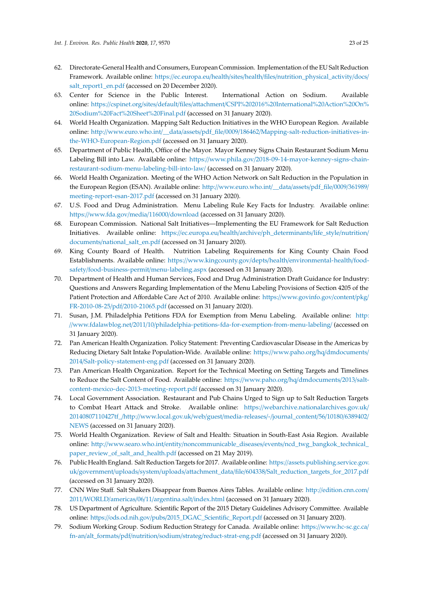- <span id="page-22-21"></span><span id="page-22-12"></span><span id="page-22-11"></span><span id="page-22-3"></span><span id="page-22-2"></span><span id="page-22-0"></span>62. Directorate-General Health and Consumers, European Commission. Implementation of the EU Salt Reduction Framework. Available online: https://ec.europa.eu/health/sites/health/files/[nutrition\\_physical\\_activity](https://ec.europa.eu/health/sites/health/files/nutrition_physical_activity/docs/salt_report1_en.pdf)/docs/ [salt\\_report1\\_en.pdf](https://ec.europa.eu/health/sites/health/files/nutrition_physical_activity/docs/salt_report1_en.pdf) (accessed on 20 December 2020).
- <span id="page-22-17"></span><span id="page-22-10"></span>63. Center for Science in the Public Interest. International Action on Sodium. Available online: https://cspinet.org/sites/default/files/attachment/[CSPI%202016%20International%20Action%20On%](https://cspinet.org/sites/default/files/attachment/CSPI%202016%20International%20Action%20On%20Sodium%20Fact%20Sheet%20Final.pdf) [20Sodium%20Fact%20Sheet%20Final.pdf](https://cspinet.org/sites/default/files/attachment/CSPI%202016%20International%20Action%20On%20Sodium%20Fact%20Sheet%20Final.pdf) (accessed on 31 January 2020).
- <span id="page-22-22"></span>64. World Health Organization. Mapping Salt Reduction Initiatives in the WHO European Region. Available online: http://www.euro.who.int/\_\_data/assets/pdf\_file/0009/186462/[Mapping-salt-reduction-initiatives-in](http://www.euro.who.int/__data/assets/pdf_file/0009/186462/Mapping-salt-reduction-initiatives-in-the-WHO-European-Region.pdf)[the-WHO-European-Region.pdf](http://www.euro.who.int/__data/assets/pdf_file/0009/186462/Mapping-salt-reduction-initiatives-in-the-WHO-European-Region.pdf) (accessed on 31 January 2020).
- <span id="page-22-14"></span>65. Department of Public Health, Office of the Mayor. Mayor Kenney Signs Chain Restaurant Sodium Menu Labeling Bill into Law. Available online: https://www.phila.gov/[2018-09-14-mayor-kenney-signs-chain](https://www.phila.gov/2018-09-14-mayor-kenney-signs-chain-restaurant-sodium-menu-labeling-bill-into-law/)[restaurant-sodium-menu-labeling-bill-into-law](https://www.phila.gov/2018-09-14-mayor-kenney-signs-chain-restaurant-sodium-menu-labeling-bill-into-law/)/ (accessed on 31 January 2020).
- <span id="page-22-13"></span>66. World Health Organization. Meeting of the WHO Action Network on Salt Reduction in the Population in the European Region (ESAN). Available online: http://[www.euro.who.int](http://www.euro.who.int/__data/assets/pdf_file/0009/361989/meeting-report-esan-2017.pdf)/\_\_data/assets/pdf\_file/0009/361989/ [meeting-report-esan-2017.pdf](http://www.euro.who.int/__data/assets/pdf_file/0009/361989/meeting-report-esan-2017.pdf) (accessed on 31 January 2020).
- <span id="page-22-5"></span>67. U.S. Food and Drug Administration. Menu Labeling Rule Key Facts for Industry. Available online: https://[www.fda.gov](https://www.fda.gov/media/116000/download)/media/116000/download (accessed on 31 January 2020).
- <span id="page-22-7"></span>68. European Commission. National Salt Initiatives—Implementing the EU Framework for Salt Reduction Initiatives. Available online: https://ec.europa.eu/health/archive/[ph\\_determinants](https://ec.europa.eu/health/archive/ph_determinants/life_style/nutrition/documents/national_salt_en.pdf)/life\_style/nutrition/ documents/[national\\_salt\\_en.pdf](https://ec.europa.eu/health/archive/ph_determinants/life_style/nutrition/documents/national_salt_en.pdf) (accessed on 31 January 2020).
- <span id="page-22-6"></span>69. King County Board of Health. Nutrition Labeling Requirements for King County Chain Food Establishments. Available online: https://www.kingcounty.gov/depts/health/[environmental-health](https://www.kingcounty.gov/depts/health/environmental-health/food-safety/food-business-permit/menu-labeling.aspx)/foodsafety/[food-business-permit](https://www.kingcounty.gov/depts/health/environmental-health/food-safety/food-business-permit/menu-labeling.aspx)/menu-labeling.aspx (accessed on 31 January 2020).
- <span id="page-22-8"></span>70. Department of Health and Human Services, Food and Drug Administration Draft Guidance for Industry: Questions and Answers Regarding Implementation of the Menu Labeling Provisions of Section 4205 of the Patient Protection and Affordable Care Act of 2010. Available online: https://[www.govinfo.gov](https://www.govinfo.gov/content/pkg/FR-2010-08-25/pdf/2010-21065.pdf)/content/pkg/ FR-2010-08-25/pdf/[2010-21065.pdf](https://www.govinfo.gov/content/pkg/FR-2010-08-25/pdf/2010-21065.pdf) (accessed on 31 January 2020).
- <span id="page-22-9"></span><span id="page-22-1"></span>71. Susan, J.M. Philadelphia Petitions FDA for Exemption from Menu Labeling. Available online: [http:](http://www.fdalawblog.net/2011/10/philadelphia-petitions-fda-for-exemption-from-menu-labeling/) //www.fdalawblog.net/2011/10/[philadelphia-petitions-fda-for-exemption-from-menu-labeling](http://www.fdalawblog.net/2011/10/philadelphia-petitions-fda-for-exemption-from-menu-labeling/)/ (accessed on 31 January 2020).
- <span id="page-22-4"></span>72. Pan American Health Organization. Policy Statement: Preventing Cardiovascular Disease in the Americas by Reducing Dietary Salt Intake Population-Wide. Available online: https://[www.paho.org](https://www.paho.org/hq/dmdocuments/2014/Salt-policy-statement-eng.pdf)/hq/dmdocuments/ 2014/[Salt-policy-statement-eng.pdf](https://www.paho.org/hq/dmdocuments/2014/Salt-policy-statement-eng.pdf) (accessed on 31 January 2020).
- <span id="page-22-18"></span>73. Pan American Health Organization. Report for the Technical Meeting on Setting Targets and Timelines to Reduce the Salt Content of Food. Available online: https://[www.paho.org](https://www.paho.org/hq/dmdocuments/2013/salt-content-mexico-dec-2013-meeting-report.pdf)/hq/dmdocuments/2013/salt[content-mexico-dec-2013-meeting-report.pdf](https://www.paho.org/hq/dmdocuments/2013/salt-content-mexico-dec-2013-meeting-report.pdf) (accessed on 31 January 2020).
- 74. Local Government Association. Restaurant and Pub Chains Urged to Sign up to Salt Reduction Targets to Combat Heart Attack and Stroke. Available online: https://[webarchive.nationalarchives.gov.uk](https://webarchive.nationalarchives.gov.uk/20140807110427tf_/http://www.local.gov.uk/web/guest/media-releases/-/journal_content/56/10180/6389402/NEWS)/ [20140807110427tf\\_](https://webarchive.nationalarchives.gov.uk/20140807110427tf_/http://www.local.gov.uk/web/guest/media-releases/-/journal_content/56/10180/6389402/NEWS)/http://www.local.gov.uk/web/guest/media-releases/-/journal\_content/56/10180/6389402/ [NEWS](https://webarchive.nationalarchives.gov.uk/20140807110427tf_/http://www.local.gov.uk/web/guest/media-releases/-/journal_content/56/10180/6389402/NEWS) (accessed on 31 January 2020).
- <span id="page-22-16"></span>75. World Health Organization. Review of Salt and Health: Situation in South-East Asia Region. Available online: http://www.searo.who.int/entity/noncommunicable\_diseases/events/[ncd\\_twg\\_bangkok\\_technical\\_](http://www.searo.who.int/entity/noncommunicable_diseases/events/ncd_twg_bangkok_technical_paper_review_of_salt_and_health.pdf) [paper\\_review\\_of\\_salt\\_and\\_health.pdf](http://www.searo.who.int/entity/noncommunicable_diseases/events/ncd_twg_bangkok_technical_paper_review_of_salt_and_health.pdf) (accessed on 21 May 2019).
- <span id="page-22-15"></span>76. Public Health England. Salt Reduction Targets for 2017. Available online: https://[assets.publishing.service.gov.](https://assets.publishing.service.gov.uk/government/uploads/system/uploads/attachment_data/file/604338/Salt_reduction_targets_for_2017.pdf) uk/government/uploads/system/uploads/attachment\_data/file/604338/[Salt\\_reduction\\_targets\\_for\\_2017.pdf](https://assets.publishing.service.gov.uk/government/uploads/system/uploads/attachment_data/file/604338/Salt_reduction_targets_for_2017.pdf) (accessed on 31 January 2020).
- <span id="page-22-19"></span>77. CNN Wire Staff. Salt Shakers Disappear from Buenos Aires Tables. Available online: http://[edition.cnn.com](http://edition.cnn.com/2011/WORLD/americas/06/11/argentina.salt/index.html)/ 2011/WORLD/americas/06/11/[argentina.salt](http://edition.cnn.com/2011/WORLD/americas/06/11/argentina.salt/index.html)/index.html (accessed on 31 January 2020).
- <span id="page-22-23"></span>78. US Department of Agriculture. Scientific Report of the 2015 Dietary Guidelines Advisory Committee. Available online: https://ods.od.nih.gov/pubs/[2015\\_DGAC\\_Scientific\\_Report.pdf](https://ods.od.nih.gov/pubs/2015_DGAC_Scientific_Report.pdf) (accessed on 31 January 2020).
- <span id="page-22-20"></span>79. Sodium Working Group. Sodium Reduction Strategy for Canada. Available online: https://[www.hc-sc.gc.ca](https://www.hc-sc.gc.ca/fn-an/alt_formats/pdf/nutrition/sodium/strateg/reduct-strat-eng.pdf)/ fn-an/alt\_formats/pdf/nutrition/sodium/strateg/[reduct-strat-eng.pdf](https://www.hc-sc.gc.ca/fn-an/alt_formats/pdf/nutrition/sodium/strateg/reduct-strat-eng.pdf) (accessed on 31 January 2020).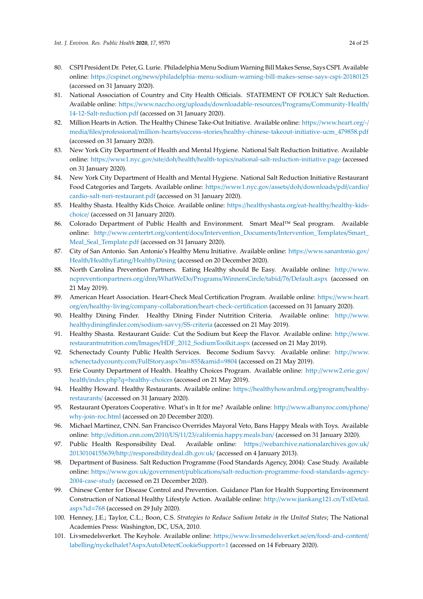- <span id="page-23-15"></span><span id="page-23-12"></span><span id="page-23-7"></span><span id="page-23-6"></span><span id="page-23-5"></span><span id="page-23-4"></span>80. CSPI President Dr. Peter, G. Lurie. Philadelphia Menu Sodium Warning Bill Makes Sense, Says CSPI. Available online: https://cspinet.org/news/[philadelphia-menu-sodium-warning-bill-makes-sense-says-cspi-20180125](https://cspinet.org/news/philadelphia-menu-sodium-warning-bill-makes-sense-says-cspi-20180125) (accessed on 31 January 2020).
- <span id="page-23-11"></span>81. National Association of Country and City Health Officials. STATEMENT OF POLICY Salt Reduction. Available online: https://www.naccho.org/uploads/[downloadable-resources](https://www.naccho.org/uploads/downloadable-resources/Programs/Community-Health/14-12-Salt-reduction.pdf)/Programs/Community-Health/ [14-12-Salt-reduction.pdf](https://www.naccho.org/uploads/downloadable-resources/Programs/Community-Health/14-12-Salt-reduction.pdf) (accessed on 31 January 2020).
- 82. Million Hearts in Action. The Healthy Chinese Take-Out Initiative. Available online: https://[www.heart.org](https://www.heart.org/-/media/files/professional/million-hearts/success-stories/healthy-chinese-takeout-initiative-ucm_479858.pdf)/-/ media/files/professional/million-hearts/success-stories/[healthy-chinese-takeout-initiative-ucm\\_479858.pdf](https://www.heart.org/-/media/files/professional/million-hearts/success-stories/healthy-chinese-takeout-initiative-ucm_479858.pdf) (accessed on 31 January 2020).
- <span id="page-23-16"></span><span id="page-23-14"></span>83. New York City Department of Health and Mental Hygiene. National Salt Reduction Initiative. Available online: https://www1.nyc.gov/site/doh/health/health-topics/[national-salt-reduction-initiative.page](https://www1.nyc.gov/site/doh/health/health-topics/national-salt-reduction-initiative.page) (accessed on 31 January 2020).
- <span id="page-23-18"></span><span id="page-23-8"></span>84. New York City Department of Health and Mental Hygiene. National Salt Reduction Initiative Restaurant Food Categories and Targets. Available online: https://[www1.nyc.gov](https://www1.nyc.gov/assets/doh/downloads/pdf/cardio/cardio-salt-nsri-restaurant.pdf)/assets/doh/downloads/pdf/cardio/ [cardio-salt-nsri-restaurant.pdf](https://www1.nyc.gov/assets/doh/downloads/pdf/cardio/cardio-salt-nsri-restaurant.pdf) (accessed on 31 January 2020).
- <span id="page-23-19"></span><span id="page-23-9"></span>85. Healthy Shasta. Healthy Kids Choice. Available online: https://[healthyshasta.org](https://healthyshasta.org/eat-healthy/healthy-kids-choice/)/eat-healthy/healthy-kids[choice](https://healthyshasta.org/eat-healthy/healthy-kids-choice/)/ (accessed on 31 January 2020).
- <span id="page-23-10"></span>86. Colorado Department of Public Health and Environment. Smart Meal™ Seal program. Available online: http://www.centertrt.org/content/docs/[Intervention\\_Documents](http://www.centertrt.org/content/docs/Intervention_Documents/Intervention_Templates/Smart_Meal_Seal_Template.pdf)/Intervention\_Templates/Smart\_ [Meal\\_Seal\\_Template.pdf](http://www.centertrt.org/content/docs/Intervention_Documents/Intervention_Templates/Smart_Meal_Seal_Template.pdf) (accessed on 31 January 2020).
- <span id="page-23-13"></span>87. City of San Antonio. San Antonio's Healthy Menu Initiative. Available online: https://[www.sanantonio.gov](https://www.sanantonio.gov/Health/HealthyEating/HealthyDining)/ Health/HealthyEating/[HealthyDining](https://www.sanantonio.gov/Health/HealthyEating/HealthyDining) (accessed on 20 December 2020).
- <span id="page-23-2"></span>88. North Carolina Prevention Partners. Eating Healthy should Be Easy. Available online: http://[www.](http://www.ncpreventionpartners.org/dnn/WhatWeDo/Programs/WinnersCircle/tabid/76/Default.aspx) [ncpreventionpartners.org](http://www.ncpreventionpartners.org/dnn/WhatWeDo/Programs/WinnersCircle/tabid/76/Default.aspx)/dnn/WhatWeDo/Programs/WinnersCircle/tabid/76/Default.aspx (accessed on 21 May 2019).
- 89. American Heart Association. Heart-Check Meal Certification Program. Available online: https://[www.heart.](https://www.heart.org/en/healthy-living/company-collaboration/heart-check-certification) org/en/healthy-living/company-collaboration/[heart-check-certification](https://www.heart.org/en/healthy-living/company-collaboration/heart-check-certification) (accessed on 31 January 2020).
- <span id="page-23-1"></span>90. Healthy Dining Finder. Healthy Dining Finder Nutrition Criteria. Available online: http://[www.](http://www.healthydiningfinder.com/sodium-savvy/SS-criteria) [healthydiningfinder.com](http://www.healthydiningfinder.com/sodium-savvy/SS-criteria)/sodium-savvy/SS-criteria (accessed on 21 May 2019).
- <span id="page-23-21"></span><span id="page-23-3"></span>91. Healthy Shasta. Restaurant Guide: Cut the Sodium but Keep the Flavor. Available online: http://[www.](http://www.restaurantnutrition.com/Images/HDF_2012_SodiumToolkit.aspx) restaurantnutrition.com/Images/[HDF\\_2012\\_SodiumToolkit.aspx](http://www.restaurantnutrition.com/Images/HDF_2012_SodiumToolkit.aspx) (accessed on 21 May 2019).
- 92. Schenectady County Public Health Services. Become Sodium Savvy. Available online: http://[www.](http://www.schenectadycounty.com/FullStory.aspx?m=855&amid=9804) [schenectadycounty.com](http://www.schenectadycounty.com/FullStory.aspx?m=855&amid=9804)/FullStory.aspx?m=855&amid=9804 (accessed on 21 May 2019).
- 93. Erie County Department of Health. Healthy Choices Program. Available online: http://[www2.erie.gov](http://www2.erie.gov/health/index.php?q=healthy-choices)/ health/index.php?q=[healthy-choices](http://www2.erie.gov/health/index.php?q=healthy-choices) (accessed on 21 May 2019).
- <span id="page-23-22"></span>94. Healthy Howard. Healthy Restaurants. Available online: https://[healthyhowardmd.org](https://healthyhowardmd.org/program/healthy-restaurants/)/program/healthy[restaurants](https://healthyhowardmd.org/program/healthy-restaurants/)/ (accessed on 31 January 2020).
- <span id="page-23-23"></span>95. Restaurant Operators Cooperative. What's in It for me? Available online: http://[www.albanyroc.com](http://www.albanyroc.com/phone/why-join-roc.html)/phone/ [why-join-roc.html](http://www.albanyroc.com/phone/why-join-roc.html) (accessed on 20 December 2020).
- 96. Michael Martinez, CNN. San Francisco Overrides Mayoral Veto, Bans Happy Meals with Toys. Available online: http://edition.cnn.com/2010/US/11/23/[california.happy.meals.ban](http://edition.cnn.com/2010/US/11/23/california.happy.meals.ban/)/ (accessed on 31 January 2020).
- 97. Public Health Responsibility Deal. Available online: https://[webarchive.nationalarchives.gov.uk](https://webarchive.nationalarchives.gov.uk/20130104155639/http://responsibilitydeal.dh.gov.uk/)/ 20130104155639/http://[responsibilitydeal.dh.gov.uk](https://webarchive.nationalarchives.gov.uk/20130104155639/http://responsibilitydeal.dh.gov.uk/)/ (accessed on 4 January 2013).
- 98. Department of Business. Salt Reduction Programme (Food Standards Agency, 2004): Case Study. Available online: https://www.gov.uk/government/publications/[salt-reduction-programme-food-standards-agency-](https://www.gov.uk/government/publications/salt-reduction-programme-food-standards-agency-2004-case-study)[2004-case-study](https://www.gov.uk/government/publications/salt-reduction-programme-food-standards-agency-2004-case-study) (accessed on 21 December 2020).
- <span id="page-23-20"></span>99. Chinese Center for Disease Control and Prevention. Guidance Plan for Health Supporting Environment Construction of National Healthy Lifestyle Action. Available online: http://[www.jiankang121.cn](http://www.jiankang121.cn/TxtDetail.aspx?id=768)/TxtDetail. [aspx?id](http://www.jiankang121.cn/TxtDetail.aspx?id=768)=768 (accessed on 29 July 2020).
- <span id="page-23-0"></span>100. Henney, J.E.; Taylor, C.L.; Boon, C.S. *Strategies to Reduce Sodium Intake in the United States*; The National Academies Press: Washington, DC, USA, 2010.
- <span id="page-23-17"></span>101. Livsmedelsverket. The Keyhole. Available online: https://[www.livsmedelsverket.se](https://www.livsmedelsverket.se/en/food-and-content/labelling/nyckelhalet?AspxAutoDetectCookieSupport=1)/en/food-and-content/ labelling/[nyckelhalet?AspxAutoDetectCookieSupport](https://www.livsmedelsverket.se/en/food-and-content/labelling/nyckelhalet?AspxAutoDetectCookieSupport=1)=1 (accessed on 14 February 2020).